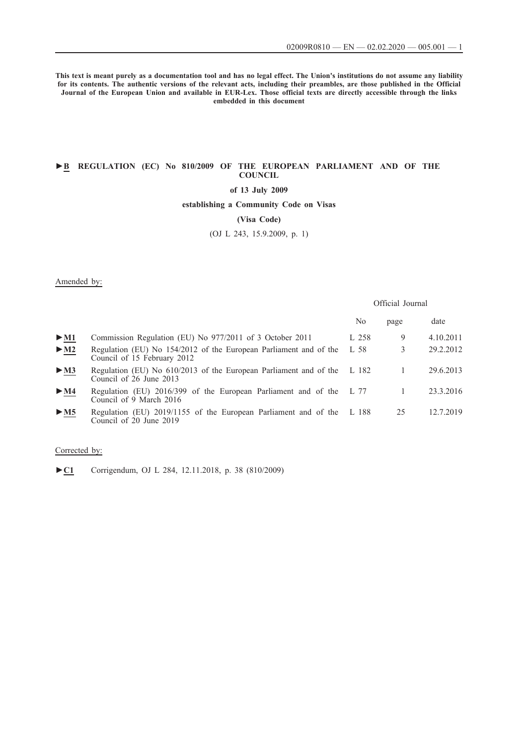Official Journal

**This text is meant purely as a documentation tool and has no legal effect. The Union's institutions do not assume any liability for its contents. The authentic versions of the relevant acts, including their preambles, are those published in the Official Journal of the European Union and available in EUR-Lex. Those official texts are directly accessible through the links embedded in this document**

# **►B [REGULATION \(EC\) No 810/2009 OF THE EUROPEAN PARLIAMENT AND OF THE](http://data.europa.eu/eli/reg/2009/810/oj/eng) [COUNCIL](http://data.europa.eu/eli/reg/2009/810/oj/eng)**

# **[of 13 July 2009](http://data.europa.eu/eli/reg/2009/810/oj/eng)**

**[establishing a Community Code on Visas](http://data.europa.eu/eli/reg/2009/810/oj/eng)**

### **[\(Visa Code\)](http://data.europa.eu/eli/reg/2009/810/oj/eng)**

### [\(OJ L 243, 15.9.2009, p. 1\)](http://data.europa.eu/eli/reg/2009/810/oj/eng)

### Amended by:

|                                                                                                  | No    | page                                                                                  | date      |
|--------------------------------------------------------------------------------------------------|-------|---------------------------------------------------------------------------------------|-----------|
| Commission Regulation (EU) No 977/2011 of 3 October 2011                                         | L 258 | 9                                                                                     | 4.10.2011 |
| Regulation (EU) No 154/2012 of the European Parliament and of the<br>Council of 15 February 2012 | L 58  | 3                                                                                     | 29.2.2012 |
| Regulation (EU) No 610/2013 of the European Parliament and of the<br>Council of 26 June 2013     |       |                                                                                       | 29.6.2013 |
| Council of 9 March 2016                                                                          |       |                                                                                       | 23.3.2016 |
| Regulation (EU) 2019/1155 of the European Parliament and of the<br>Council of 20 June 2019       |       | 25                                                                                    | 12.7.2019 |
|                                                                                                  |       | L 182<br>Regulation (EU) 2016/399 of the European Parliament and of the L 77<br>L 188 |           |

### Corrected by:

[►](http://data.europa.eu/eli/reg/2009/810/corrigendum/2018-11-12/oj/eng)**[C1](http://data.europa.eu/eli/reg/2009/810/corrigendum/2018-11-12/oj/eng)** [Corrigendum, OJ L 284, 12.11.2018, p. 38 \(810/2009\)](http://data.europa.eu/eli/reg/2009/810/corrigendum/2018-11-12/oj/eng)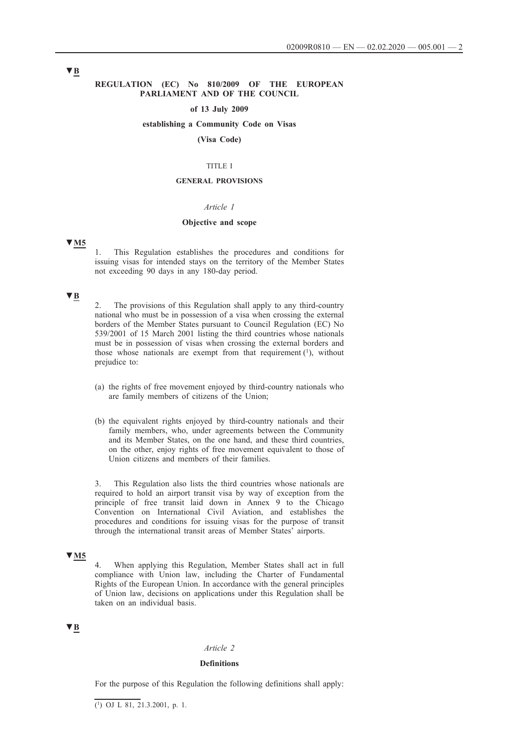#### **REGULATION (EC) No 810/2009 OF THE EUROPEAN PARLIAMENT AND OF THE COUNCIL**

#### **of 13 July 2009**

#### **establishing a Community Code on Visas**

#### **(Visa Code)**

#### TITLE I

### **GENERAL PROVISIONS**

### *Article 1*

#### **Objective and scope**

### **▼M5**

1. This Regulation establishes the procedures and conditions for issuing visas for intended stays on the territory of the Member States not exceeding 90 days in any 180-day period.

### **▼B**

2. The provisions of this Regulation shall apply to any third-country national who must be in possession of a visa when crossing the external borders of the Member States pursuant to Council Regulation (EC) No 539/2001 of 15 March 2001 listing the third countries whose nationals must be in possession of visas when crossing the external borders and those whose nationals are exempt from that requirement  $(1)$ , without prejudice to:

- (a) the rights of free movement enjoyed by third-country nationals who are family members of citizens of the Union;
- (b) the equivalent rights enjoyed by third-country nationals and their family members, who, under agreements between the Community and its Member States, on the one hand, and these third countries, on the other, enjoy rights of free movement equivalent to those of Union citizens and members of their families.

3. This Regulation also lists the third countries whose nationals are required to hold an airport transit visa by way of exception from the principle of free transit laid down in Annex 9 to the Chicago Convention on International Civil Aviation, and establishes the procedures and conditions for issuing visas for the purpose of transit through the international transit areas of Member States' airports.

### **▼M5**

4. When applying this Regulation, Member States shall act in full compliance with Union law, including the Charter of Fundamental Rights of the European Union. In accordance with the general principles of Union law, decisions on applications under this Regulation shall be taken on an individual basis.

### **▼B**

### *Article 2*

### **Definitions**

For the purpose of this Regulation the following definitions shall apply: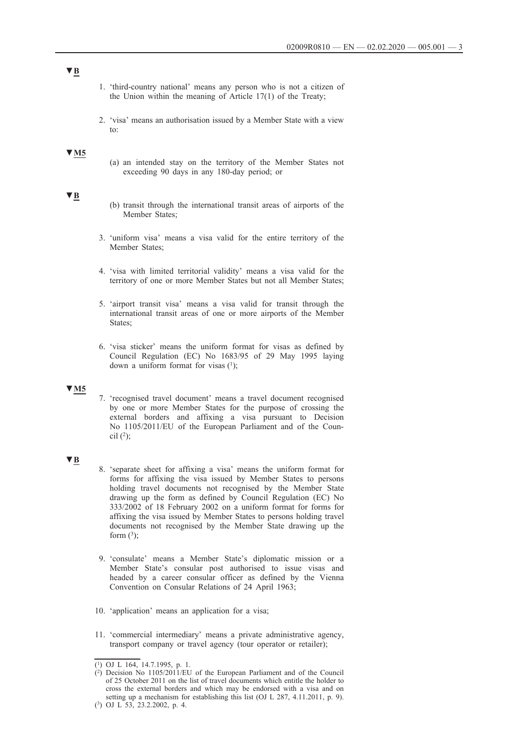- 1. 'third-country national' means any person who is not a citizen of the Union within the meaning of Article 17(1) of the Treaty;
- 2. 'visa' means an authorisation issued by a Member State with a view to:

### **▼M5**

(a) an intended stay on the territory of the Member States not exceeding 90 days in any 180-day period; or

### **▼B**

- (b) transit through the international transit areas of airports of the Member States;
- 3. 'uniform visa' means a visa valid for the entire territory of the Member States;
- 4. 'visa with limited territorial validity' means a visa valid for the territory of one or more Member States but not all Member States;
- 5. 'airport transit visa' means a visa valid for transit through the international transit areas of one or more airports of the Member States;
- 6. 'visa sticker' means the uniform format for visas as defined by Council Regulation (EC) No 1683/95 of 29 May 1995 laying down a uniform format for visas  $(1)$ ;

### **▼M5**

7. 'recognised travel document' means a travel document recognised by one or more Member States for the purpose of crossing the external borders and affixing a visa pursuant to Decision No 1105/2011/EU of the European Parliament and of the Council  $(2)$ ;

# **▼B**

- 8. 'separate sheet for affixing a visa' means the uniform format for forms for affixing the visa issued by Member States to persons holding travel documents not recognised by the Member State drawing up the form as defined by Council Regulation (EC) No 333/2002 of 18 February 2002 on a uniform format for forms for affixing the visa issued by Member States to persons holding travel documents not recognised by the Member State drawing up the form  $(3)$ ;
- 9. 'consulate' means a Member State's diplomatic mission or a Member State's consular post authorised to issue visas and headed by a career consular officer as defined by the Vienna Convention on Consular Relations of 24 April 1963;
- 10. 'application' means an application for a visa;
- 11. 'commercial intermediary' means a private administrative agency, transport company or travel agency (tour operator or retailer);

 $(1)$  OJ L 164, 14.7.1995, p. 1.

 $(2)$  Decision No 1105/2011/EU of the European Parliament and of the Council of 25 October 2011 on the list of travel documents which entitle the holder to cross the external borders and which may be endorsed with a visa and on setting up a mechanism for establishing this list (OJ L 287, 4.11.2011, p. 9).

<sup>(3)</sup> OJ L 53, 23.2.2002, p. 4.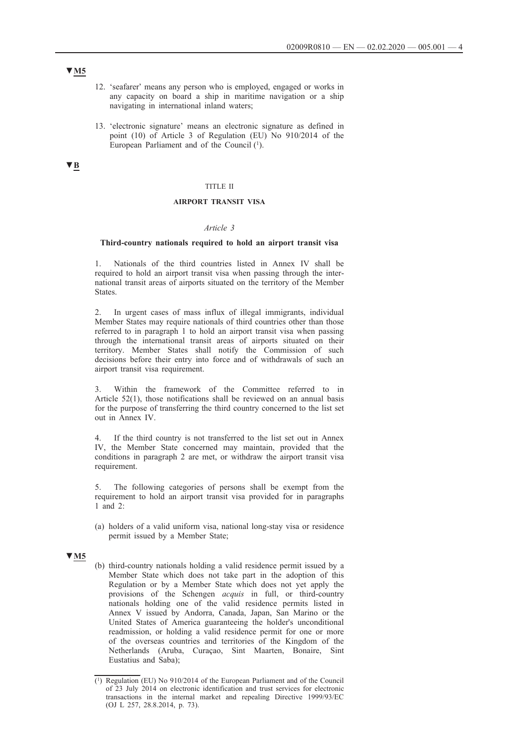- 12. 'seafarer' means any person who is employed, engaged or works in any capacity on board a ship in maritime navigation or a ship navigating in international inland waters;
- 13. 'electronic signature' means an electronic signature as defined in point (10) of Article 3 of Regulation (EU) No 910/2014 of the European Parliament and of the Council  $(1)$ .

### **▼B**

### TITLE II

### **AIRPORT TRANSIT VISA**

### *Article 3*

#### **Third-country nationals required to hold an airport transit visa**

1. Nationals of the third countries listed in Annex IV shall be required to hold an airport transit visa when passing through the international transit areas of airports situated on the territory of the Member **States**.

2. In urgent cases of mass influx of illegal immigrants, individual Member States may require nationals of third countries other than those referred to in paragraph 1 to hold an airport transit visa when passing through the international transit areas of airports situated on their territory. Member States shall notify the Commission of such decisions before their entry into force and of withdrawals of such an airport transit visa requirement.

3. Within the framework of the Committee referred to in Article 52(1), those notifications shall be reviewed on an annual basis for the purpose of transferring the third country concerned to the list set out in Annex IV.

4. If the third country is not transferred to the list set out in Annex IV, the Member State concerned may maintain, provided that the conditions in paragraph 2 are met, or withdraw the airport transit visa requirement.

5. The following categories of persons shall be exempt from the requirement to hold an airport transit visa provided for in paragraphs 1 and  $2^{\circ}$ 

(a) holders of a valid uniform visa, national long-stay visa or residence permit issued by a Member State;

### **▼M5**

(b) third-country nationals holding a valid residence permit issued by a Member State which does not take part in the adoption of this Regulation or by a Member State which does not yet apply the provisions of the Schengen *acquis* in full, or third-country nationals holding one of the valid residence permits listed in Annex V issued by Andorra, Canada, Japan, San Marino or the United States of America guaranteeing the holder's unconditional readmission, or holding a valid residence permit for one or more of the overseas countries and territories of the Kingdom of the Netherlands (Aruba, Curaçao, Sint Maarten, Bonaire, Sint Eustatius and Saba);

<sup>(1)</sup> Regulation (EU) No 910/2014 of the European Parliament and of the Council of 23 July 2014 on electronic identification and trust services for electronic transactions in the internal market and repealing Directive 1999/93/EC (OJ L 257, 28.8.2014, p. 73).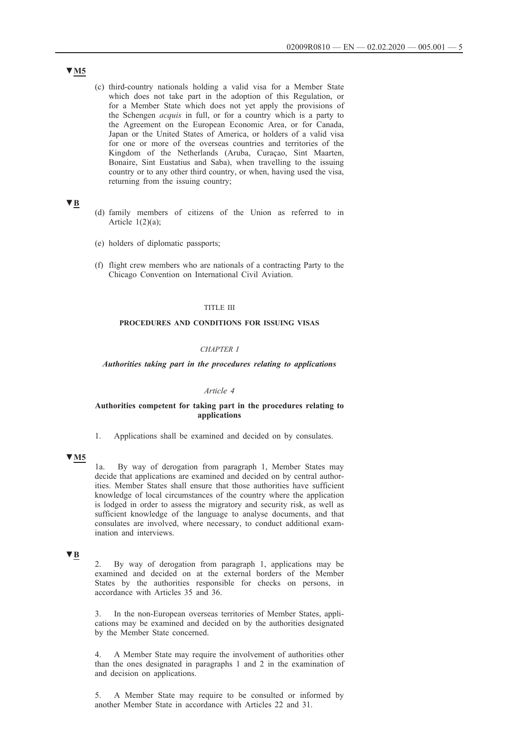(c) third-country nationals holding a valid visa for a Member State which does not take part in the adoption of this Regulation, or for a Member State which does not yet apply the provisions of the Schengen *acquis* in full, or for a country which is a party to the Agreement on the European Economic Area, or for Canada, Japan or the United States of America, or holders of a valid visa for one or more of the overseas countries and territories of the Kingdom of the Netherlands (Aruba, Curaçao, Sint Maarten, Bonaire, Sint Eustatius and Saba), when travelling to the issuing country or to any other third country, or when, having used the visa, returning from the issuing country;

#### **▼B**

- (d) family members of citizens of the Union as referred to in Article 1(2)(a);
- (e) holders of diplomatic passports;
- (f) flight crew members who are nationals of a contracting Party to the Chicago Convention on International Civil Aviation.

### TITLE III

#### **PROCEDURES AND CONDITIONS FOR ISSUING VISAS**

#### *CHAPTER I*

#### *Authorities taking part in the procedures relating to applications*

### *Article 4*

#### **Authorities competent for taking part in the procedures relating to applications**

1. Applications shall be examined and decided on by consulates.

#### **▼M5**

1a. By way of derogation from paragraph 1, Member States may decide that applications are examined and decided on by central authorities. Member States shall ensure that those authorities have sufficient knowledge of local circumstances of the country where the application is lodged in order to assess the migratory and security risk, as well as sufficient knowledge of the language to analyse documents, and that consulates are involved, where necessary, to conduct additional examination and interviews.

#### **▼B**

2. By way of derogation from paragraph 1, applications may be examined and decided on at the external borders of the Member States by the authorities responsible for checks on persons, in accordance with Articles 35 and 36.

3. In the non-European overseas territories of Member States, applications may be examined and decided on by the authorities designated by the Member State concerned.

4. A Member State may require the involvement of authorities other than the ones designated in paragraphs 1 and 2 in the examination of and decision on applications.

5. A Member State may require to be consulted or informed by another Member State in accordance with Articles 22 and 31.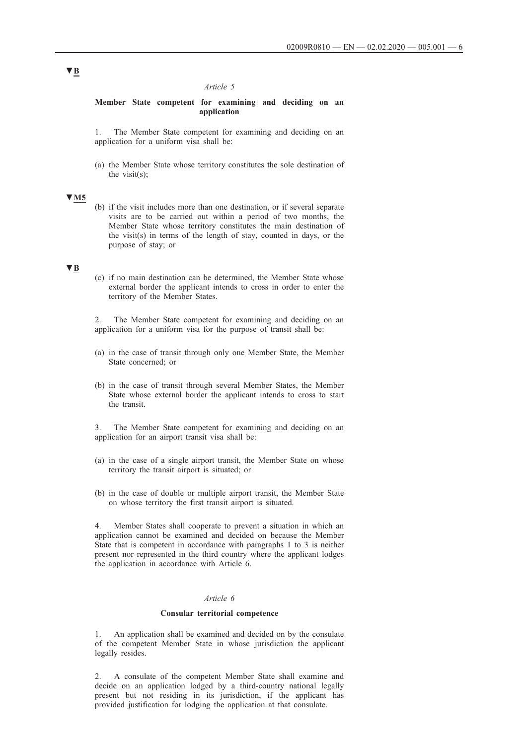#### *Article 5*

#### **Member State competent for examining and deciding on an application**

The Member State competent for examining and deciding on an application for a uniform visa shall be:

(a) the Member State whose territory constitutes the sole destination of the visit(s);

#### **▼M5**

(b) if the visit includes more than one destination, or if several separate visits are to be carried out within a period of two months, the Member State whose territory constitutes the main destination of the visit(s) in terms of the length of stay, counted in days, or the purpose of stay; or

### **▼B**

(c) if no main destination can be determined, the Member State whose external border the applicant intends to cross in order to enter the territory of the Member States.

2. The Member State competent for examining and deciding on an application for a uniform visa for the purpose of transit shall be:

- (a) in the case of transit through only one Member State, the Member State concerned; or
- (b) in the case of transit through several Member States, the Member State whose external border the applicant intends to cross to start the transit.

3. The Member State competent for examining and deciding on an application for an airport transit visa shall be:

- (a) in the case of a single airport transit, the Member State on whose territory the transit airport is situated; or
- (b) in the case of double or multiple airport transit, the Member State on whose territory the first transit airport is situated.

4. Member States shall cooperate to prevent a situation in which an application cannot be examined and decided on because the Member State that is competent in accordance with paragraphs 1 to 3 is neither present nor represented in the third country where the applicant lodges the application in accordance with Article 6.

### *Article 6*

#### **Consular territorial competence**

1. An application shall be examined and decided on by the consulate of the competent Member State in whose jurisdiction the applicant legally resides.

2. A consulate of the competent Member State shall examine and decide on an application lodged by a third-country national legally present but not residing in its jurisdiction, if the applicant has provided justification for lodging the application at that consulate.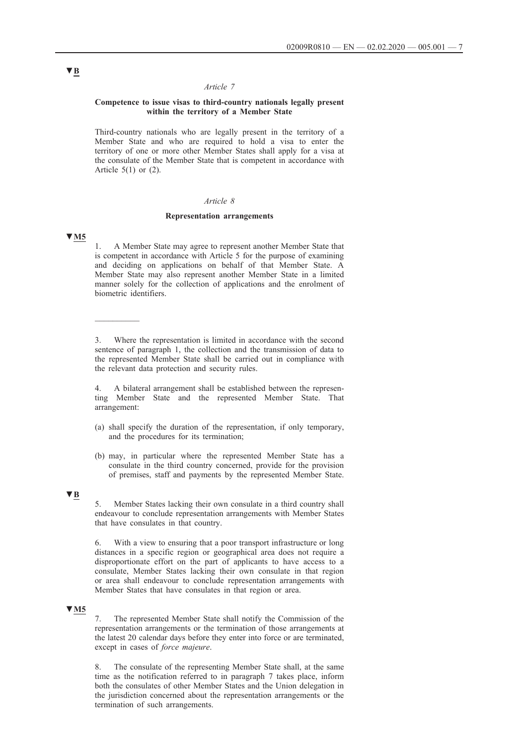#### *Article 7*

#### **Competence to issue visas to third-country nationals legally present within the territory of a Member State**

Third-country nationals who are legally present in the territory of a Member State and who are required to hold a visa to enter the territory of one or more other Member States shall apply for a visa at the consulate of the Member State that is competent in accordance with Article  $5(1)$  or  $(2)$ .

#### *Article 8*

### **Representation arrangements**

### **▼M5**

 $\frac{1}{2}$ 

1. A Member State may agree to represent another Member State that is competent in accordance with Article 5 for the purpose of examining and deciding on applications on behalf of that Member State. A Member State may also represent another Member State in a limited manner solely for the collection of applications and the enrolment of biometric identifiers.

Where the representation is limited in accordance with the second sentence of paragraph 1, the collection and the transmission of data to the represented Member State shall be carried out in compliance with the relevant data protection and security rules.

4. A bilateral arrangement shall be established between the representing Member State and the represented Member State. That arrangement:

- (a) shall specify the duration of the representation, if only temporary, and the procedures for its termination;
- (b) may, in particular where the represented Member State has a consulate in the third country concerned, provide for the provision of premises, staff and payments by the represented Member State.

### **▼B**

5. Member States lacking their own consulate in a third country shall endeavour to conclude representation arrangements with Member States that have consulates in that country.

6. With a view to ensuring that a poor transport infrastructure or long distances in a specific region or geographical area does not require a disproportionate effort on the part of applicants to have access to a consulate, Member States lacking their own consulate in that region or area shall endeavour to conclude representation arrangements with Member States that have consulates in that region or area.

### **▼M5**

7. The represented Member State shall notify the Commission of the representation arrangements or the termination of those arrangements at the latest 20 calendar days before they enter into force or are terminated, except in cases of *force majeure*.

8. The consulate of the representing Member State shall, at the same time as the notification referred to in paragraph 7 takes place, inform both the consulates of other Member States and the Union delegation in the jurisdiction concerned about the representation arrangements or the termination of such arrangements.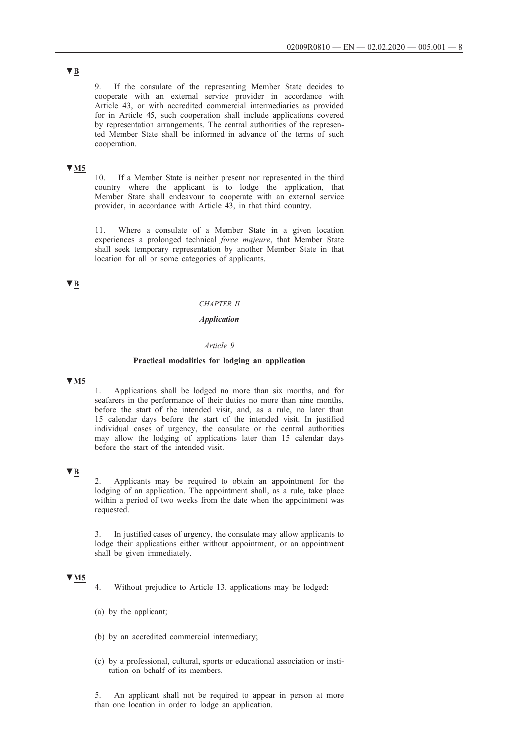9. If the consulate of the representing Member State decides to cooperate with an external service provider in accordance with Article 43, or with accredited commercial intermediaries as provided for in Article 45, such cooperation shall include applications covered by representation arrangements. The central authorities of the represented Member State shall be informed in advance of the terms of such cooperation.

### **▼M5**

10. If a Member State is neither present nor represented in the third country where the applicant is to lodge the application, that Member State shall endeavour to cooperate with an external service provider, in accordance with Article 43, in that third country.

11. Where a consulate of a Member State in a given location experiences a prolonged technical *force majeure*, that Member State shall seek temporary representation by another Member State in that location for all or some categories of applicants.

### **▼B**

### *CHAPTER II*

#### *Application*

### *Article 9*

### **Practical modalities for lodging an application**

### **▼M5**

1. Applications shall be lodged no more than six months, and for seafarers in the performance of their duties no more than nine months, before the start of the intended visit, and, as a rule, no later than 15 calendar days before the start of the intended visit. In justified individual cases of urgency, the consulate or the central authorities may allow the lodging of applications later than 15 calendar days before the start of the intended visit.

# **▼B**

2. Applicants may be required to obtain an appointment for the lodging of an application. The appointment shall, as a rule, take place within a period of two weeks from the date when the appointment was requested.

3. In justified cases of urgency, the consulate may allow applicants to lodge their applications either without appointment, or an appointment shall be given immediately.

### **▼M5**

4. Without prejudice to Article 13, applications may be lodged:

- (a) by the applicant;
- (b) by an accredited commercial intermediary;
- (c) by a professional, cultural, sports or educational association or institution on behalf of its members.

5. An applicant shall not be required to appear in person at more than one location in order to lodge an application.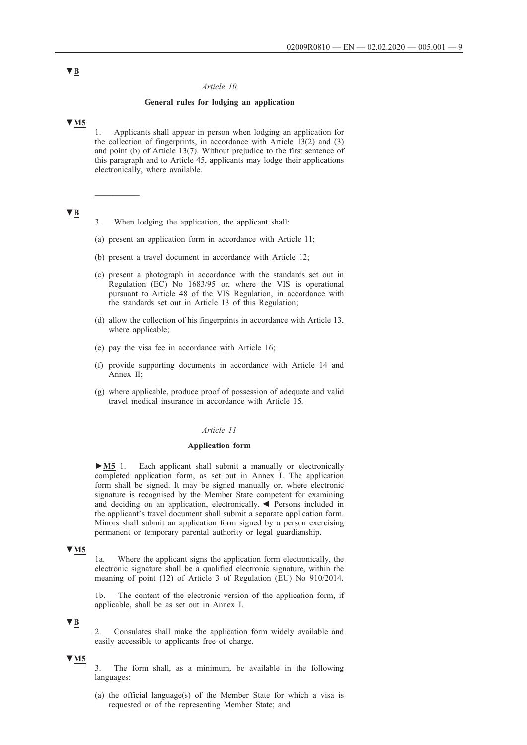#### *Article 10*

#### **General rules for lodging an application**

### **▼M5**

1. Applicants shall appear in person when lodging an application for the collection of fingerprints, in accordance with Article  $\hat{13}(2)$  and (3) and point (b) of Article 13(7). Without prejudice to the first sentence of this paragraph and to Article 45, applicants may lodge their applications electronically, where available.

### **▼B**

 $\frac{1}{2}$ 

- 3. When lodging the application, the applicant shall:
- (a) present an application form in accordance with Article 11;
- (b) present a travel document in accordance with Article 12;
- (c) present a photograph in accordance with the standards set out in Regulation (EC) No 1683/95 or, where the VIS is operational pursuant to Article 48 of the VIS Regulation, in accordance with the standards set out in Article 13 of this Regulation;
- (d) allow the collection of his fingerprints in accordance with Article 13, where applicable;
- (e) pay the visa fee in accordance with Article 16;
- (f) provide supporting documents in accordance with Article 14 and Annex II;
- (g) where applicable, produce proof of possession of adequate and valid travel medical insurance in accordance with Article 15.

### *Article 11*

#### **Application form**

**►M5** 1. Each applicant shall submit a manually or electronically completed application form, as set out in Annex I. The application form shall be signed. It may be signed manually or, where electronic signature is recognised by the Member State competent for examining and deciding on an application, electronically. ◄ Persons included in the applicant's travel document shall submit a separate application form. Minors shall submit an application form signed by a person exercising permanent or temporary parental authority or legal guardianship.

### **▼M5**

1a. Where the applicant signs the application form electronically, the electronic signature shall be a qualified electronic signature, within the meaning of point (12) of Article 3 of Regulation (EU) No 910/2014.

The content of the electronic version of the application form, if applicable, shall be as set out in Annex I.

#### **▼B**

2. Consulates shall make the application form widely available and easily accessible to applicants free of charge.

### **▼M5**

3. The form shall, as a minimum, be available in the following languages:

(a) the official language(s) of the Member State for which a visa is requested or of the representing Member State; and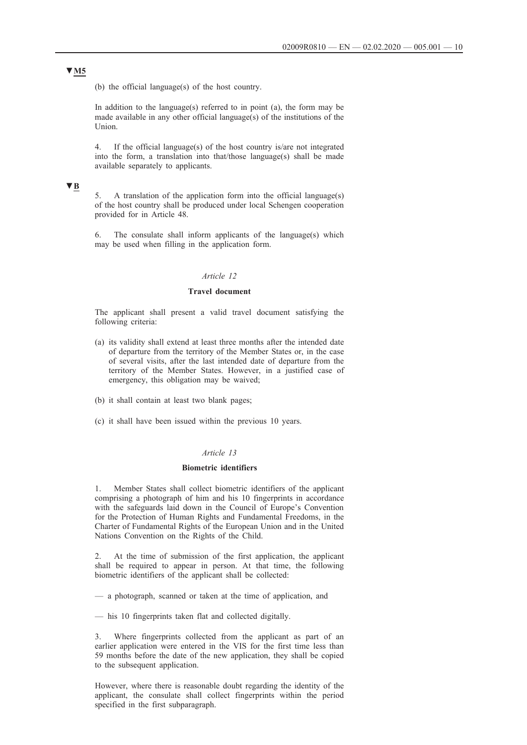(b) the official language(s) of the host country.

In addition to the language(s) referred to in point (a), the form may be made available in any other official language(s) of the institutions of the Union.

4. If the official language(s) of the host country is/are not integrated into the form, a translation into that/those language(s) shall be made available separately to applicants.

### **▼B**

5. A translation of the application form into the official language(s) of the host country shall be produced under local Schengen cooperation provided for in Article 48.

6. The consulate shall inform applicants of the language(s) which may be used when filling in the application form.

### *Article 12*

### **Travel document**

The applicant shall present a valid travel document satisfying the following criteria:

- (a) its validity shall extend at least three months after the intended date of departure from the territory of the Member States or, in the case of several visits, after the last intended date of departure from the territory of the Member States. However, in a justified case of emergency, this obligation may be waived;
- (b) it shall contain at least two blank pages;
- (c) it shall have been issued within the previous 10 years.

### *Article 13*

#### **Biometric identifiers**

1. Member States shall collect biometric identifiers of the applicant comprising a photograph of him and his 10 fingerprints in accordance with the safeguards laid down in the Council of Europe's Convention for the Protection of Human Rights and Fundamental Freedoms, in the Charter of Fundamental Rights of the European Union and in the United Nations Convention on the Rights of the Child.

2. At the time of submission of the first application, the applicant shall be required to appear in person. At that time, the following biometric identifiers of the applicant shall be collected:

— a photograph, scanned or taken at the time of application, and

— his 10 fingerprints taken flat and collected digitally.

3. Where fingerprints collected from the applicant as part of an earlier application were entered in the VIS for the first time less than 59 months before the date of the new application, they shall be copied to the subsequent application.

However, where there is reasonable doubt regarding the identity of the applicant, the consulate shall collect fingerprints within the period specified in the first subparagraph.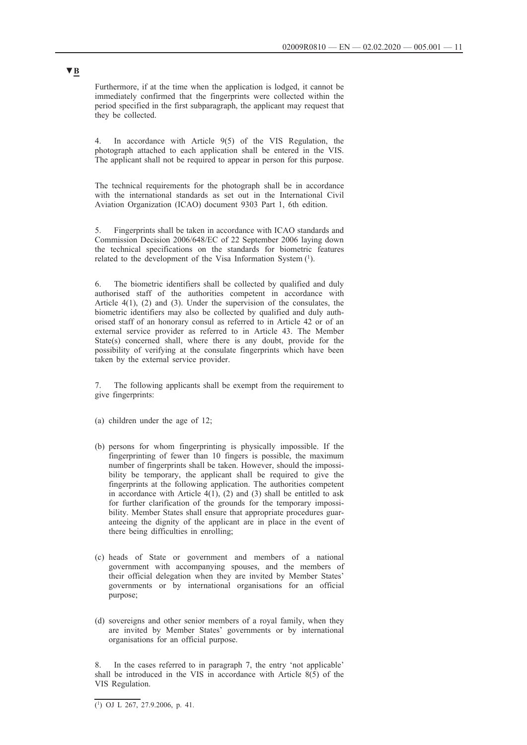Furthermore, if at the time when the application is lodged, it cannot be immediately confirmed that the fingerprints were collected within the period specified in the first subparagraph, the applicant may request that they be collected.

4. In accordance with Article 9(5) of the VIS Regulation, the photograph attached to each application shall be entered in the VIS. The applicant shall not be required to appear in person for this purpose.

The technical requirements for the photograph shall be in accordance with the international standards as set out in the International Civil Aviation Organization (ICAO) document 9303 Part 1, 6th edition.

5. Fingerprints shall be taken in accordance with ICAO standards and Commission Decision 2006/648/EC of 22 September 2006 laying down the technical specifications on the standards for biometric features related to the development of the Visa Information System (1).

6. The biometric identifiers shall be collected by qualified and duly authorised staff of the authorities competent in accordance with Article 4(1), (2) and (3). Under the supervision of the consulates, the biometric identifiers may also be collected by qualified and duly authorised staff of an honorary consul as referred to in Article 42 or of an external service provider as referred to in Article 43. The Member State(s) concerned shall, where there is any doubt, provide for the possibility of verifying at the consulate fingerprints which have been taken by the external service provider.

7. The following applicants shall be exempt from the requirement to give fingerprints:

(a) children under the age of 12;

- (b) persons for whom fingerprinting is physically impossible. If the fingerprinting of fewer than 10 fingers is possible, the maximum number of fingerprints shall be taken. However, should the impossibility be temporary, the applicant shall be required to give the fingerprints at the following application. The authorities competent in accordance with Article  $4(1)$ , (2) and (3) shall be entitled to ask for further clarification of the grounds for the temporary impossibility. Member States shall ensure that appropriate procedures guaranteeing the dignity of the applicant are in place in the event of there being difficulties in enrolling;
- (c) heads of State or government and members of a national government with accompanying spouses, and the members of their official delegation when they are invited by Member States' governments or by international organisations for an official purpose;
- (d) sovereigns and other senior members of a royal family, when they are invited by Member States' governments or by international organisations for an official purpose.

In the cases referred to in paragraph 7, the entry 'not applicable' shall be introduced in the VIS in accordance with Article  $8(5)$  of the VIS Regulation.

 $\overline{(^1)}$  OJ L 267, 27.9.2006, p. 41.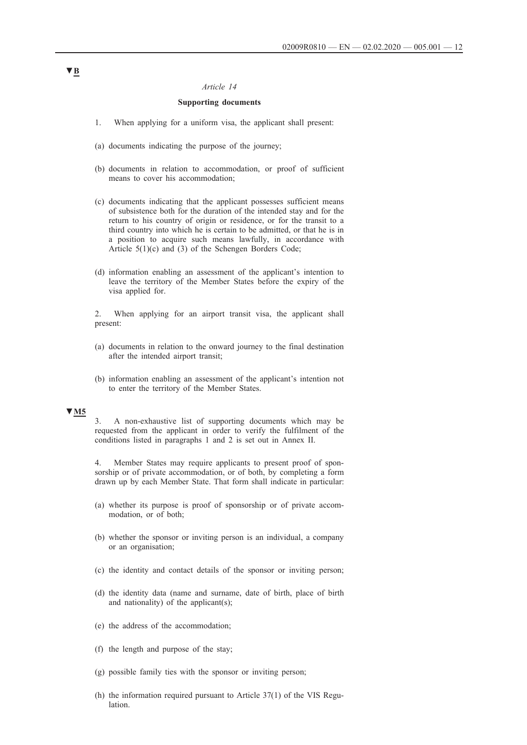### *Article 14*

### **Supporting documents**

- 1. When applying for a uniform visa, the applicant shall present:
- (a) documents indicating the purpose of the journey;
- (b) documents in relation to accommodation, or proof of sufficient means to cover his accommodation;
- (c) documents indicating that the applicant possesses sufficient means of subsistence both for the duration of the intended stay and for the return to his country of origin or residence, or for the transit to a third country into which he is certain to be admitted, or that he is in a position to acquire such means lawfully, in accordance with Article 5(1)(c) and (3) of the Schengen Borders Code;
- (d) information enabling an assessment of the applicant's intention to leave the territory of the Member States before the expiry of the visa applied for.

2. When applying for an airport transit visa, the applicant shall present:

- (a) documents in relation to the onward journey to the final destination after the intended airport transit;
- (b) information enabling an assessment of the applicant's intention not to enter the territory of the Member States.

### **▼M5**

3. A non-exhaustive list of supporting documents which may be requested from the applicant in order to verify the fulfilment of the conditions listed in paragraphs 1 and 2 is set out in Annex II.

4. Member States may require applicants to present proof of sponsorship or of private accommodation, or of both, by completing a form drawn up by each Member State. That form shall indicate in particular:

- (a) whether its purpose is proof of sponsorship or of private accommodation, or of both;
- (b) whether the sponsor or inviting person is an individual, a company or an organisation;
- (c) the identity and contact details of the sponsor or inviting person;
- (d) the identity data (name and surname, date of birth, place of birth and nationality) of the applicant(s);
- (e) the address of the accommodation;
- (f) the length and purpose of the stay;
- (g) possible family ties with the sponsor or inviting person;
- (h) the information required pursuant to Article 37(1) of the VIS Regulation.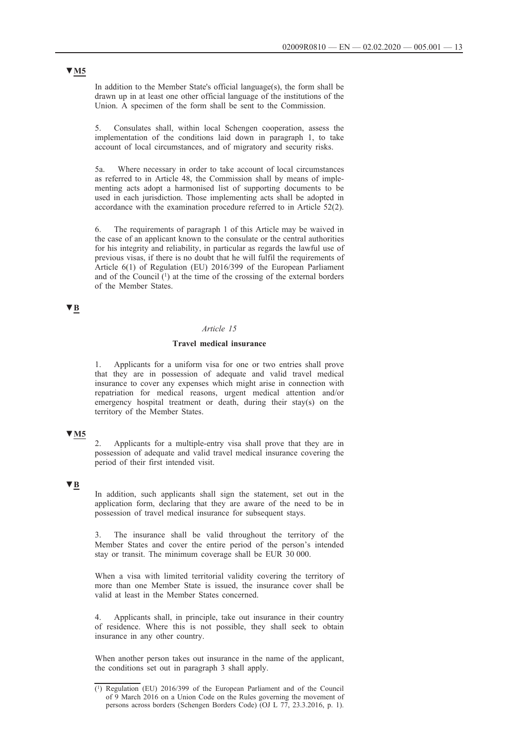In addition to the Member State's official language(s), the form shall be drawn up in at least one other official language of the institutions of the Union. A specimen of the form shall be sent to the Commission.

5. Consulates shall, within local Schengen cooperation, assess the implementation of the conditions laid down in paragraph 1, to take account of local circumstances, and of migratory and security risks.

5a. Where necessary in order to take account of local circumstances as referred to in Article 48, the Commission shall by means of implementing acts adopt a harmonised list of supporting documents to be used in each jurisdiction. Those implementing acts shall be adopted in accordance with the examination procedure referred to in Article 52(2).

6. The requirements of paragraph 1 of this Article may be waived in the case of an applicant known to the consulate or the central authorities for his integrity and reliability, in particular as regards the lawful use of previous visas, if there is no doubt that he will fulfil the requirements of Article 6(1) of Regulation (EU) 2016/399 of the European Parliament and of the Council  $(1)$  at the time of the crossing of the external borders of the Member States.

### **▼B**

### *Article 15*

#### **Travel medical insurance**

1. Applicants for a uniform visa for one or two entries shall prove that they are in possession of adequate and valid travel medical insurance to cover any expenses which might arise in connection with repatriation for medical reasons, urgent medical attention and/or emergency hospital treatment or death, during their stay(s) on the territory of the Member States.

#### **▼M5**

2. Applicants for a multiple-entry visa shall prove that they are in possession of adequate and valid travel medical insurance covering the period of their first intended visit.

### **▼B**

In addition, such applicants shall sign the statement, set out in the application form, declaring that they are aware of the need to be in possession of travel medical insurance for subsequent stays.

The insurance shall be valid throughout the territory of the Member States and cover the entire period of the person's intended stay or transit. The minimum coverage shall be EUR 30 000.

When a visa with limited territorial validity covering the territory of more than one Member State is issued, the insurance cover shall be valid at least in the Member States concerned.

4. Applicants shall, in principle, take out insurance in their country of residence. Where this is not possible, they shall seek to obtain insurance in any other country.

When another person takes out insurance in the name of the applicant, the conditions set out in paragraph 3 shall apply.

<sup>(1)</sup> Regulation (EU) 2016/399 of the European Parliament and of the Council of 9 March 2016 on a Union Code on the Rules governing the movement of persons across borders (Schengen Borders Code) (OJ L 77, 23.3.2016, p. 1).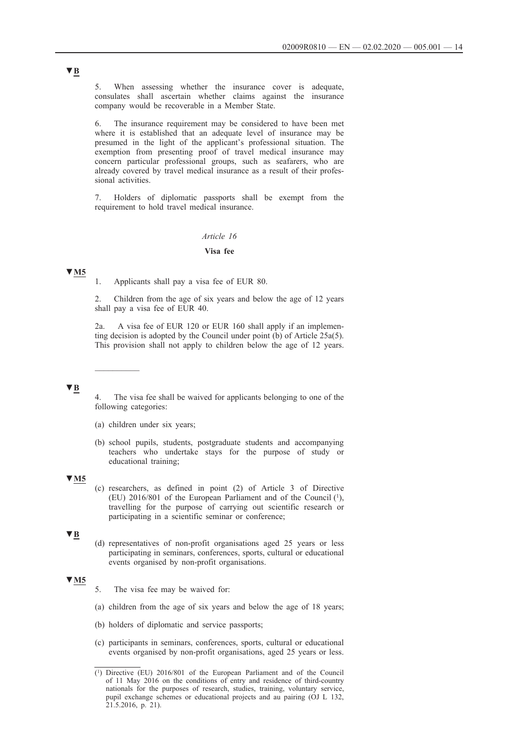5. When assessing whether the insurance cover is adequate, consulates shall ascertain whether claims against the insurance company would be recoverable in a Member State.

6. The insurance requirement may be considered to have been met where it is established that an adequate level of insurance may be presumed in the light of the applicant's professional situation. The exemption from presenting proof of travel medical insurance may concern particular professional groups, such as seafarers, who are already covered by travel medical insurance as a result of their professional activities.

7. Holders of diplomatic passports shall be exempt from the requirement to hold travel medical insurance.

#### *Article 16*

#### **Visa fee**

### **▼M5**

1. Applicants shall pay a visa fee of EUR 80.

2. Children from the age of six years and below the age of 12 years shall pay a visa fee of EUR 40.

2a. A visa fee of EUR 120 or EUR 160 shall apply if an implementing decision is adopted by the Council under point  $(b)$  of Article 25a(5). This provision shall not apply to children below the age of 12 years.

### **▼B**

4. The visa fee shall be waived for applicants belonging to one of the following categories:

- (a) children under six years;
- (b) school pupils, students, postgraduate students and accompanying teachers who undertake stays for the purpose of study or educational training;

### **▼M5**

(c) researchers, as defined in point (2) of Article 3 of Directive (EU) 2016/801 of the European Parliament and of the Council  $(1)$ , travelling for the purpose of carrying out scientific research or participating in a scientific seminar or conference;

### **▼B**

(d) representatives of non-profit organisations aged 25 years or less participating in seminars, conferences, sports, cultural or educational events organised by non-profit organisations.

### **▼M5**

- 5. The visa fee may be waived for:
- (a) children from the age of six years and below the age of 18 years;
- (b) holders of diplomatic and service passports;
- (c) participants in seminars, conferences, sports, cultural or educational events organised by non-profit organisations, aged 25 years or less.

<sup>(1)</sup> Directive (EU) 2016/801 of the European Parliament and of the Council of 11 May 2016 on the conditions of entry and residence of third-country nationals for the purposes of research, studies, training, voluntary service, pupil exchange schemes or educational projects and au pairing (OJ L 132, 21.5.2016, p. 21).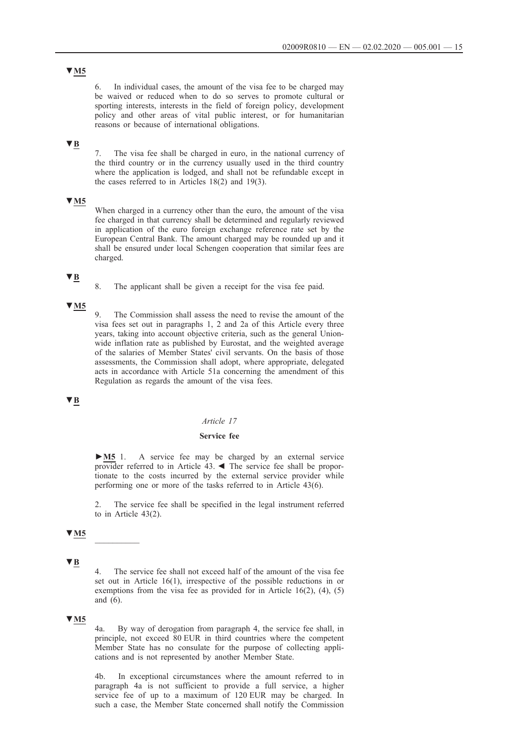**▼M5**

6. In individual cases, the amount of the visa fee to be charged may be waived or reduced when to do so serves to promote cultural or sporting interests, interests in the field of foreign policy, development policy and other areas of vital public interest, or for humanitarian reasons or because of international obligations.

## **▼B**

7. The visa fee shall be charged in euro, in the national currency of the third country or in the currency usually used in the third country where the application is lodged, and shall not be refundable except in the cases referred to in Articles 18(2) and 19(3).

### **▼M5**

When charged in a currency other than the euro, the amount of the visa fee charged in that currency shall be determined and regularly reviewed in application of the euro foreign exchange reference rate set by the European Central Bank. The amount charged may be rounded up and it shall be ensured under local Schengen cooperation that similar fees are charged.

### **▼B**

8. The applicant shall be given a receipt for the visa fee paid.

### **▼M5**

9. The Commission shall assess the need to revise the amount of the visa fees set out in paragraphs 1, 2 and 2a of this Article every three years, taking into account objective criteria, such as the general Unionwide inflation rate as published by Eurostat, and the weighted average of the salaries of Member States' civil servants. On the basis of those assessments, the Commission shall adopt, where appropriate, delegated acts in accordance with Article 51a concerning the amendment of this Regulation as regards the amount of the visa fees.

# **▼B**

### *Article 17*

#### **Service fee**

**►M5** 1. A service fee may be charged by an external service provider referred to in Article 43. ◄ The service fee shall be proportionate to the costs incurred by the external service provider while performing one or more of the tasks referred to in Article 43(6).

2. The service fee shall be specified in the legal instrument referred to in Article 43(2).

### **▼M5** \_\_\_\_\_\_\_\_\_\_

### **▼B**

4. The service fee shall not exceed half of the amount of the visa fee set out in Article 16(1), irrespective of the possible reductions in or exemptions from the visa fee as provided for in Article 16(2), (4), (5) and (6).

### **▼M5**

4a. By way of derogation from paragraph 4, the service fee shall, in principle, not exceed 80 EUR in third countries where the competent Member State has no consulate for the purpose of collecting applications and is not represented by another Member State.

4b. In exceptional circumstances where the amount referred to in paragraph 4a is not sufficient to provide a full service, a higher service fee of up to a maximum of 120 EUR may be charged. In such a case, the Member State concerned shall notify the Commission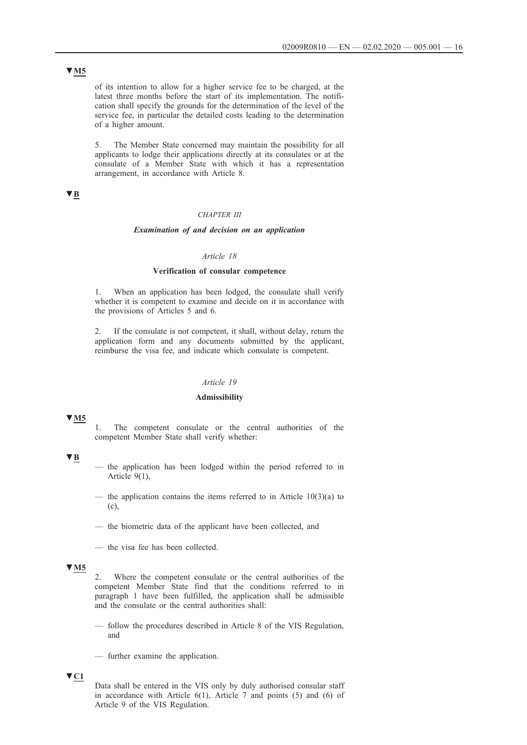of its intention to allow for a higher service fee to be charged, at the latest three months before the start of its implementation. The notification shall specify the grounds for the determination of the level of the service fee, in particular the detailed costs leading to the determination of a higher amount.

5. The Member State concerned may maintain the possibility for all applicants to lodge their applications directly at its consulates or at the consulate of a Member State with which it has a representation arrangement, in accordance with Article 8.

### **▼B**

#### *CHAPTER III*

#### *Examination of and decision on an application*

### *Article 18*

#### **Verification of consular competence**

1. When an application has been lodged, the consulate shall verify whether it is competent to examine and decide on it in accordance with the provisions of Articles 5 and 6.

2. If the consulate is not competent, it shall, without delay, return the application form and any documents submitted by the applicant, reimburse the visa fee, and indicate which consulate is competent.

### *Article 19*

#### **Admissibility**

### **▼M5**

1. The competent consulate or the central authorities of the competent Member State shall verify whether:

### **▼B**

- the application has been lodged within the period referred to in Article 9(1),
- the application contains the items referred to in Article  $10(3)(a)$  to (c),
- the biometric data of the applicant have been collected, and
- the visa fee has been collected.

### **▼M5**

2. Where the competent consulate or the central authorities of the competent Member State find that the conditions referred to in paragraph 1 have been fulfilled, the application shall be admissible and the consulate or the central authorities shall:

- follow the procedures described in Article 8 of the VIS Regulation, and
- further examine the application.

# **▼C1**

Data shall be entered in the VIS only by duly authorised consular staff in accordance with Article 6(1), Article 7 and points (5) and (6) of Article 9 of the VIS Regulation.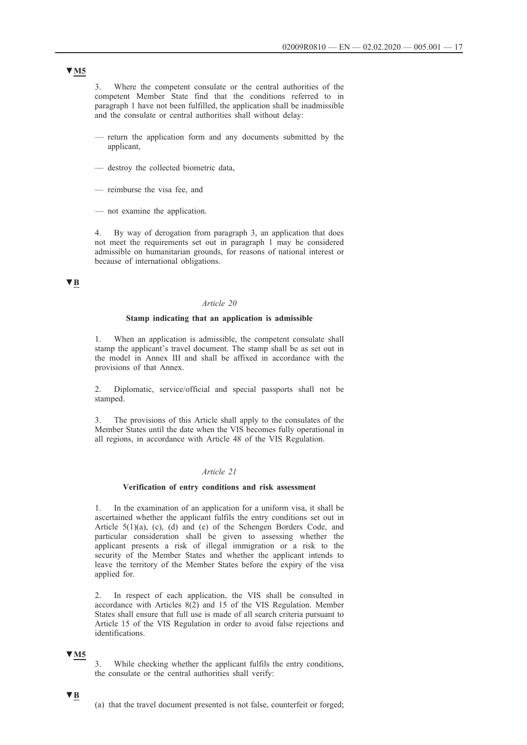3. Where the competent consulate or the central authorities of the competent Member State find that the conditions referred to in paragraph 1 have not been fulfilled, the application shall be inadmissible and the consulate or central authorities shall without delay:

- return the application form and any documents submitted by the applicant,
- destroy the collected biometric data,
- reimburse the visa fee, and
- not examine the application.

By way of derogation from paragraph 3, an application that does not meet the requirements set out in paragraph 1 may be considered admissible on humanitarian grounds, for reasons of national interest or because of international obligations.

### **▼B**

#### *Article 20*

#### **Stamp indicating that an application is admissible**

1. When an application is admissible, the competent consulate shall stamp the applicant's travel document. The stamp shall be as set out in the model in Annex III and shall be affixed in accordance with the provisions of that Annex.

2. Diplomatic, service/official and special passports shall not be stamped.

3. The provisions of this Article shall apply to the consulates of the Member States until the date when the VIS becomes fully operational in all regions, in accordance with Article 48 of the VIS Regulation.

#### *Article 21*

### **Verification of entry conditions and risk assessment**

1. In the examination of an application for a uniform visa, it shall be ascertained whether the applicant fulfils the entry conditions set out in Article  $5(1)(a)$ , (c), (d) and (e) of the Schengen Borders Code, and particular consideration shall be given to assessing whether the applicant presents a risk of illegal immigration or a risk to the security of the Member States and whether the applicant intends to leave the territory of the Member States before the expiry of the visa applied for.

2. In respect of each application, the VIS shall be consulted in accordance with Articles  $8(2)$  and  $15$  of the VIS Regulation. Member States shall ensure that full use is made of all search criteria pursuant to Article 15 of the VIS Regulation in order to avoid false rejections and identifications.

#### **▼M5**

**▼B**

3. While checking whether the applicant fulfils the entry conditions, the consulate or the central authorities shall verify: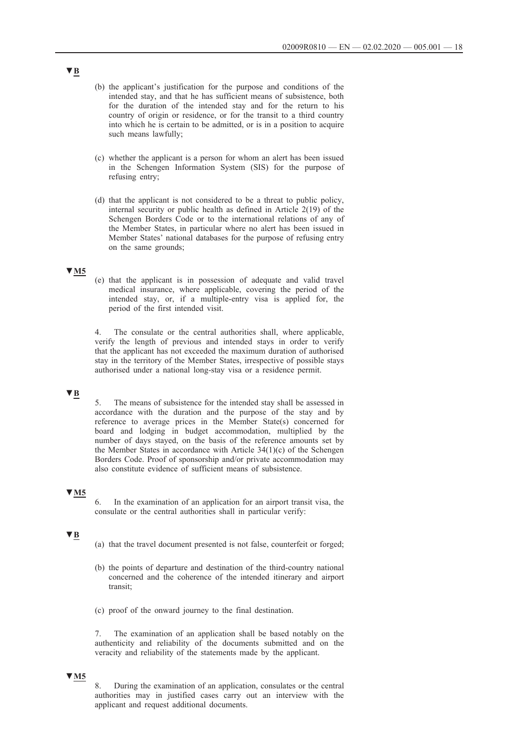- (b) the applicant's justification for the purpose and conditions of the intended stay, and that he has sufficient means of subsistence, both for the duration of the intended stay and for the return to his country of origin or residence, or for the transit to a third country into which he is certain to be admitted, or is in a position to acquire such means lawfully;
- (c) whether the applicant is a person for whom an alert has been issued in the Schengen Information System (SIS) for the purpose of refusing entry;
- (d) that the applicant is not considered to be a threat to public policy, internal security or public health as defined in Article 2(19) of the Schengen Borders Code or to the international relations of any of the Member States, in particular where no alert has been issued in Member States' national databases for the purpose of refusing entry on the same grounds;

### **▼M5**

(e) that the applicant is in possession of adequate and valid travel medical insurance, where applicable, covering the period of the intended stay, or, if a multiple-entry visa is applied for, the period of the first intended visit.

4. The consulate or the central authorities shall, where applicable, verify the length of previous and intended stays in order to verify that the applicant has not exceeded the maximum duration of authorised stay in the territory of the Member States, irrespective of possible stays authorised under a national long-stay visa or a residence permit.

# **▼B**

5. The means of subsistence for the intended stay shall be assessed in accordance with the duration and the purpose of the stay and by reference to average prices in the Member State(s) concerned for board and lodging in budget accommodation, multiplied by the number of days stayed, on the basis of the reference amounts set by the Member States in accordance with Article 34(1)(c) of the Schengen Borders Code. Proof of sponsorship and/or private accommodation may also constitute evidence of sufficient means of subsistence.

#### **▼M5**

6. In the examination of an application for an airport transit visa, the consulate or the central authorities shall in particular verify:

### **▼B**

- (a) that the travel document presented is not false, counterfeit or forged;
- (b) the points of departure and destination of the third-country national concerned and the coherence of the intended itinerary and airport transit;
- (c) proof of the onward journey to the final destination.

7. The examination of an application shall be based notably on the authenticity and reliability of the documents submitted and on the veracity and reliability of the statements made by the applicant.

### **▼M5**

8. During the examination of an application, consulates or the central authorities may in justified cases carry out an interview with the applicant and request additional documents.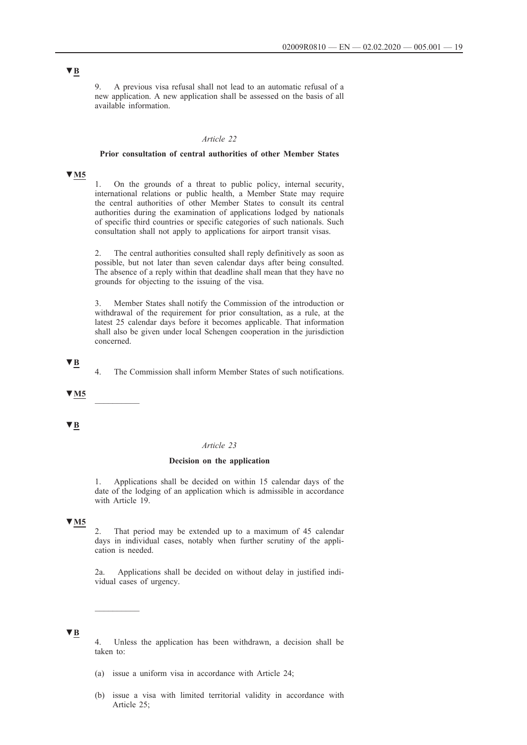9. A previous visa refusal shall not lead to an automatic refusal of a new application. A new application shall be assessed on the basis of all available information.

#### *Article 22*

#### **Prior consultation of central authorities of other Member States**

### **▼M5**

1. On the grounds of a threat to public policy, internal security, international relations or public health, a Member State may require the central authorities of other Member States to consult its central authorities during the examination of applications lodged by nationals of specific third countries or specific categories of such nationals. Such consultation shall not apply to applications for airport transit visas.

2. The central authorities consulted shall reply definitively as soon as possible, but not later than seven calendar days after being consulted. The absence of a reply within that deadline shall mean that they have no grounds for objecting to the issuing of the visa.

3. Member States shall notify the Commission of the introduction or withdrawal of the requirement for prior consultation, as a rule, at the latest 25 calendar days before it becomes applicable. That information shall also be given under local Schengen cooperation in the jurisdiction concerned.

**▼B**

4. The Commission shall inform Member States of such notifications.

**▼M5** \_\_\_\_\_\_\_\_\_\_

**▼B**

#### *Article 23*

#### **Decision on the application**

1. Applications shall be decided on within 15 calendar days of the date of the lodging of an application which is admissible in accordance with Article 19

### **▼M5**

2. That period may be extended up to a maximum of 45 calendar days in individual cases, notably when further scrutiny of the application is needed.

2a. Applications shall be decided on without delay in justified individual cases of urgency.

### **▼B**

 $\frac{1}{2}$ 

4. Unless the application has been withdrawn, a decision shall be taken to:

- (a) issue a uniform visa in accordance with Article 24;
- (b) issue a visa with limited territorial validity in accordance with Article 25;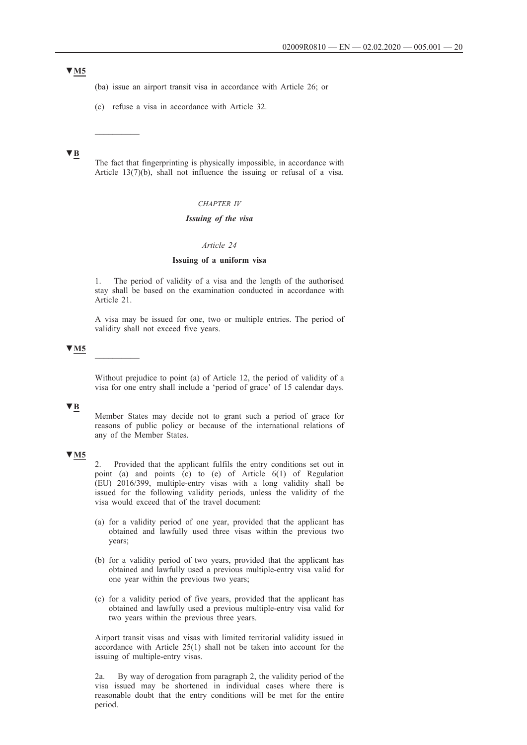# **▼M5**

- (ba) issue an airport transit visa in accordance with Article 26; or
- (c) refuse a visa in accordance with Article 32.

#### **▼B**

 $\frac{1}{2}$ 

The fact that fingerprinting is physically impossible, in accordance with Article 13(7)(b), shall not influence the issuing or refusal of a visa.

#### *CHAPTER IV*

#### *Issuing of the visa*

#### *Article 24*

### **Issuing of a uniform visa**

1. The period of validity of a visa and the length of the authorised stay shall be based on the examination conducted in accordance with Article 21.

A visa may be issued for one, two or multiple entries. The period of validity shall not exceed five years.

### **▼M5** \_\_\_\_\_\_\_\_\_\_

Without prejudice to point (a) of Article 12, the period of validity of a visa for one entry shall include a 'period of grace' of 15 calendar days.

#### **▼B**

Member States may decide not to grant such a period of grace for reasons of public policy or because of the international relations of any of the Member States.

### **▼M5**

2. Provided that the applicant fulfils the entry conditions set out in point (a) and points (c) to (e) of Article 6(1) of Regulation (EU) 2016/399, multiple-entry visas with a long validity shall be issued for the following validity periods, unless the validity of the visa would exceed that of the travel document:

- (a) for a validity period of one year, provided that the applicant has obtained and lawfully used three visas within the previous two years;
- (b) for a validity period of two years, provided that the applicant has obtained and lawfully used a previous multiple-entry visa valid for one year within the previous two years;
- (c) for a validity period of five years, provided that the applicant has obtained and lawfully used a previous multiple-entry visa valid for two years within the previous three years.

Airport transit visas and visas with limited territorial validity issued in accordance with Article 25(1) shall not be taken into account for the issuing of multiple-entry visas.

2a. By way of derogation from paragraph 2, the validity period of the visa issued may be shortened in individual cases where there is reasonable doubt that the entry conditions will be met for the entire period.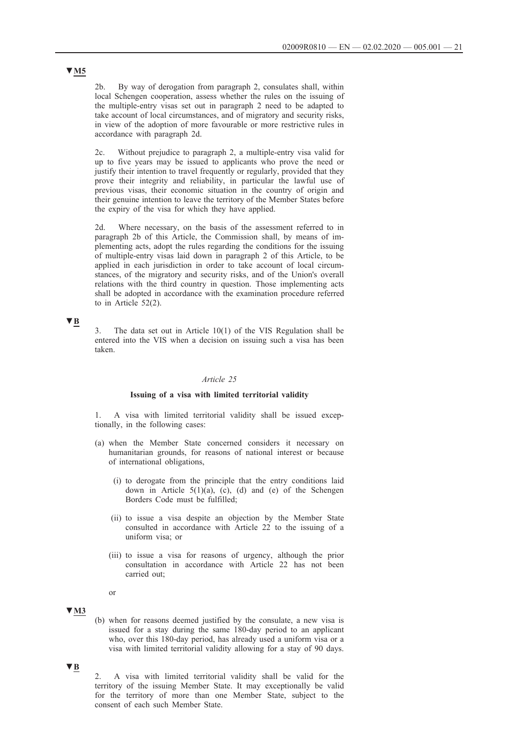2b. By way of derogation from paragraph 2, consulates shall, within local Schengen cooperation, assess whether the rules on the issuing of the multiple-entry visas set out in paragraph 2 need to be adapted to take account of local circumstances, and of migratory and security risks, in view of the adoption of more favourable or more restrictive rules in accordance with paragraph 2d.

2c. Without prejudice to paragraph 2, a multiple-entry visa valid for up to five years may be issued to applicants who prove the need or justify their intention to travel frequently or regularly, provided that they prove their integrity and reliability, in particular the lawful use of previous visas, their economic situation in the country of origin and their genuine intention to leave the territory of the Member States before the expiry of the visa for which they have applied.

2d. Where necessary, on the basis of the assessment referred to in paragraph 2b of this Article, the Commission shall, by means of implementing acts, adopt the rules regarding the conditions for the issuing of multiple-entry visas laid down in paragraph 2 of this Article, to be applied in each jurisdiction in order to take account of local circumstances, of the migratory and security risks, and of the Union's overall relations with the third country in question. Those implementing acts shall be adopted in accordance with the examination procedure referred to in Article 52(2).

#### **▼B**

3. The data set out in Article 10(1) of the VIS Regulation shall be entered into the VIS when a decision on issuing such a visa has been taken.

#### *Article 25*

#### **Issuing of a visa with limited territorial validity**

1. A visa with limited territorial validity shall be issued exceptionally, in the following cases:

- (a) when the Member State concerned considers it necessary on humanitarian grounds, for reasons of national interest or because of international obligations,
	- (i) to derogate from the principle that the entry conditions laid down in Article  $5(1)(a)$ ,  $(c)$ ,  $(d)$  and  $(e)$  of the Schengen Borders Code must be fulfilled;
	- (ii) to issue a visa despite an objection by the Member State consulted in accordance with Article 22 to the issuing of a uniform visa; or
	- (iii) to issue a visa for reasons of urgency, although the prior consultation in accordance with Article 22 has not been carried out;

or

### **▼M3**

(b) when for reasons deemed justified by the consulate, a new visa is issued for a stay during the same 180-day period to an applicant who, over this 180-day period, has already used a uniform visa or a visa with limited territorial validity allowing for a stay of 90 days.

### **▼B**

2. A visa with limited territorial validity shall be valid for the territory of the issuing Member State. It may exceptionally be valid for the territory of more than one Member State, subject to the consent of each such Member State.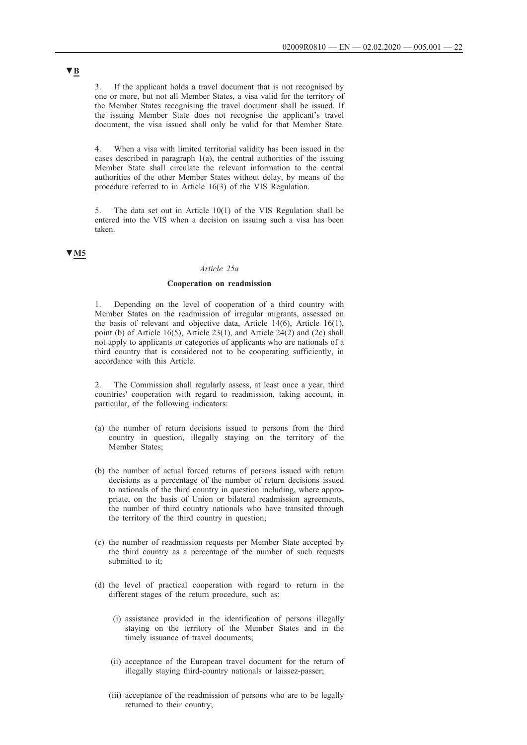3. If the applicant holds a travel document that is not recognised by one or more, but not all Member States, a visa valid for the territory of the Member States recognising the travel document shall be issued. If the issuing Member State does not recognise the applicant's travel document, the visa issued shall only be valid for that Member State.

4. When a visa with limited territorial validity has been issued in the cases described in paragraph 1(a), the central authorities of the issuing Member State shall circulate the relevant information to the central authorities of the other Member States without delay, by means of the procedure referred to in Article 16(3) of the VIS Regulation.

5. The data set out in Article 10(1) of the VIS Regulation shall be entered into the VIS when a decision on issuing such a visa has been taken.

### **▼M5**

### *Article 25a*

### **Cooperation on readmission**

1. Depending on the level of cooperation of a third country with Member States on the readmission of irregular migrants, assessed on the basis of relevant and objective data, Article 14(6), Article 16(1), point (b) of Article 16(5), Article 23(1), and Article 24(2) and (2c) shall not apply to applicants or categories of applicants who are nationals of a third country that is considered not to be cooperating sufficiently, in accordance with this Article.

2. The Commission shall regularly assess, at least once a year, third countries' cooperation with regard to readmission, taking account, in particular, of the following indicators:

- (a) the number of return decisions issued to persons from the third country in question, illegally staying on the territory of the Member States;
- (b) the number of actual forced returns of persons issued with return decisions as a percentage of the number of return decisions issued to nationals of the third country in question including, where appropriate, on the basis of Union or bilateral readmission agreements, the number of third country nationals who have transited through the territory of the third country in question;
- (c) the number of readmission requests per Member State accepted by the third country as a percentage of the number of such requests submitted to it;
- (d) the level of practical cooperation with regard to return in the different stages of the return procedure, such as:
	- (i) assistance provided in the identification of persons illegally staying on the territory of the Member States and in the timely issuance of travel documents;
	- (ii) acceptance of the European travel document for the return of illegally staying third-country nationals or laissez-passer;
	- (iii) acceptance of the readmission of persons who are to be legally returned to their country;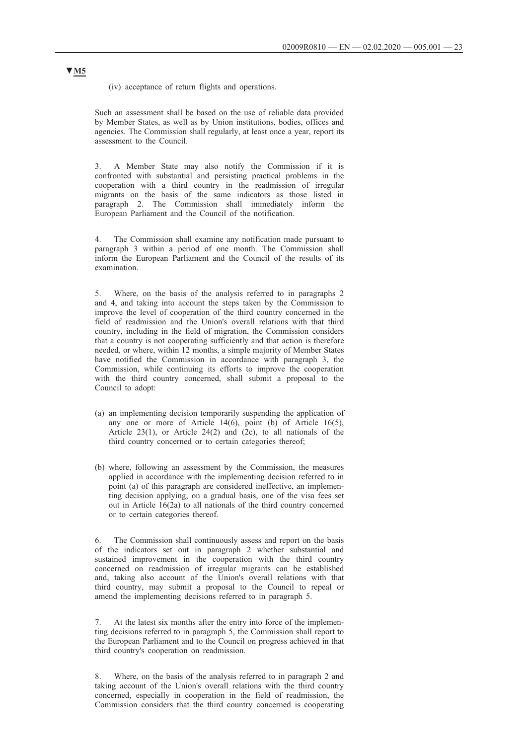(iv) acceptance of return flights and operations.

Such an assessment shall be based on the use of reliable data provided by Member States, as well as by Union institutions, bodies, offices and agencies. The Commission shall regularly, at least once a year, report its assessment to the Council.

3. A Member State may also notify the Commission if it is confronted with substantial and persisting practical problems in the cooperation with a third country in the readmission of irregular migrants on the basis of the same indicators as those listed in paragraph 2. The Commission shall immediately inform the European Parliament and the Council of the notification.

4. The Commission shall examine any notification made pursuant to paragraph 3 within a period of one month. The Commission shall inform the European Parliament and the Council of the results of its examination.

5. Where, on the basis of the analysis referred to in paragraphs 2 and 4, and taking into account the steps taken by the Commission to improve the level of cooperation of the third country concerned in the field of readmission and the Union's overall relations with that third country, including in the field of migration, the Commission considers that a country is not cooperating sufficiently and that action is therefore needed, or where, within 12 months, a simple majority of Member States have notified the Commission in accordance with paragraph 3, the Commission, while continuing its efforts to improve the cooperation with the third country concerned, shall submit a proposal to the Council to adopt:

- (a) an implementing decision temporarily suspending the application of any one or more of Article 14(6), point (b) of Article 16(5), Article  $23(1)$ , or Article  $24(2)$  and  $(2c)$ , to all nationals of the third country concerned or to certain categories thereof;
- (b) where, following an assessment by the Commission, the measures applied in accordance with the implementing decision referred to in point (a) of this paragraph are considered ineffective, an implementing decision applying, on a gradual basis, one of the visa fees set out in Article 16(2a) to all nationals of the third country concerned or to certain categories thereof.

6. The Commission shall continuously assess and report on the basis of the indicators set out in paragraph 2 whether substantial and sustained improvement in the cooperation with the third country concerned on readmission of irregular migrants can be established and, taking also account of the Union's overall relations with that third country, may submit a proposal to the Council to repeal or amend the implementing decisions referred to in paragraph 5.

7. At the latest six months after the entry into force of the implementing decisions referred to in paragraph 5, the Commission shall report to the European Parliament and to the Council on progress achieved in that third country's cooperation on readmission.

8. Where, on the basis of the analysis referred to in paragraph 2 and taking account of the Union's overall relations with the third country concerned, especially in cooperation in the field of readmission, the Commission considers that the third country concerned is cooperating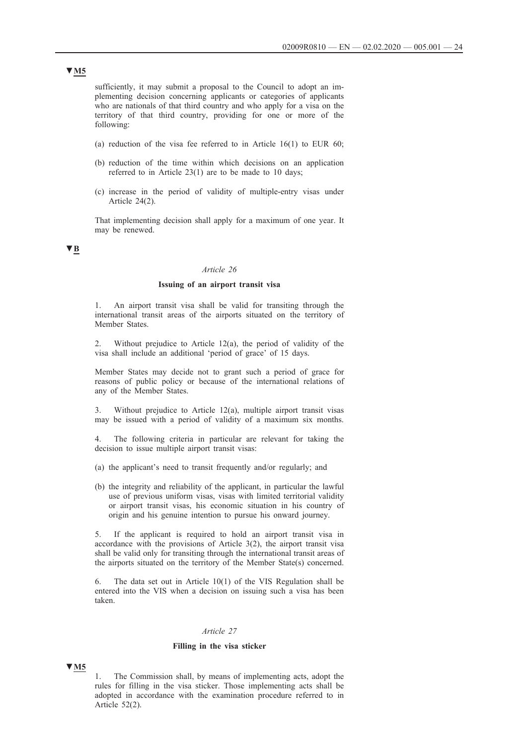sufficiently, it may submit a proposal to the Council to adopt an implementing decision concerning applicants or categories of applicants who are nationals of that third country and who apply for a visa on the territory of that third country, providing for one or more of the following:

- (a) reduction of the visa fee referred to in Article  $16(1)$  to EUR  $60$ ;
- (b) reduction of the time within which decisions on an application referred to in Article 23(1) are to be made to 10 days;
- (c) increase in the period of validity of multiple-entry visas under Article 24(2).

That implementing decision shall apply for a maximum of one year. It may be renewed.

### **▼B**

#### *Article 26*

### **Issuing of an airport transit visa**

1. An airport transit visa shall be valid for transiting through the international transit areas of the airports situated on the territory of Member States.

2. Without prejudice to Article 12(a), the period of validity of the visa shall include an additional 'period of grace' of 15 days.

Member States may decide not to grant such a period of grace for reasons of public policy or because of the international relations of any of the Member States.

3. Without prejudice to Article 12(a), multiple airport transit visas may be issued with a period of validity of a maximum six months.

4. The following criteria in particular are relevant for taking the decision to issue multiple airport transit visas:

- (a) the applicant's need to transit frequently and/or regularly; and
- (b) the integrity and reliability of the applicant, in particular the lawful use of previous uniform visas, visas with limited territorial validity or airport transit visas, his economic situation in his country of origin and his genuine intention to pursue his onward journey.

5. If the applicant is required to hold an airport transit visa in accordance with the provisions of Article 3(2), the airport transit visa shall be valid only for transiting through the international transit areas of the airports situated on the territory of the Member State(s) concerned.

6. The data set out in Article 10(1) of the VIS Regulation shall be entered into the VIS when a decision on issuing such a visa has been taken.

#### *Article 27*

#### **Filling in the visa sticker**

### **▼M5**

1. The Commission shall, by means of implementing acts, adopt the rules for filling in the visa sticker. Those implementing acts shall be adopted in accordance with the examination procedure referred to in Article 52(2).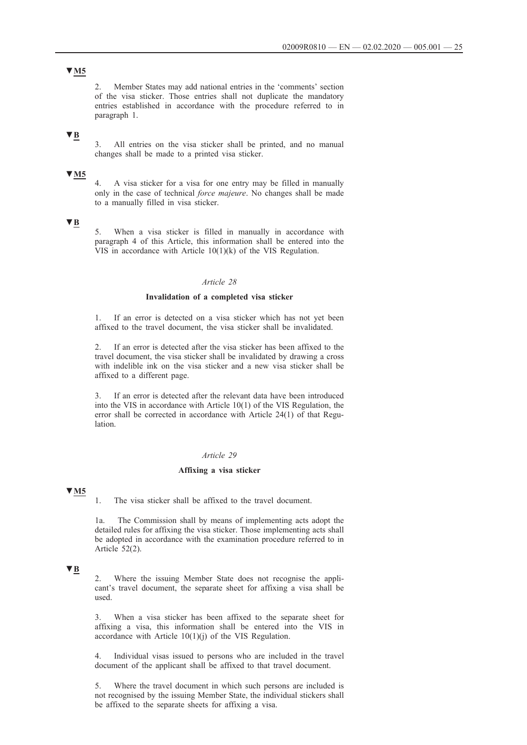### 2. Member States may add national entries in the 'comments' section of the visa sticker. Those entries shall not duplicate the mandatory entries established in accordance with the procedure referred to in paragraph 1.

### **▼B**

3. All entries on the visa sticker shall be printed, and no manual changes shall be made to a printed visa sticker.

### **▼M5**

4. A visa sticker for a visa for one entry may be filled in manually only in the case of technical *force majeure*. No changes shall be made to a manually filled in visa sticker.

# **▼B**

5. When a visa sticker is filled in manually in accordance with paragraph 4 of this Article, this information shall be entered into the VIS in accordance with Article 10(1)(k) of the VIS Regulation.

#### *Article 28*

#### **Invalidation of a completed visa sticker**

1. If an error is detected on a visa sticker which has not yet been affixed to the travel document, the visa sticker shall be invalidated.

If an error is detected after the visa sticker has been affixed to the travel document, the visa sticker shall be invalidated by drawing a cross with indelible ink on the visa sticker and a new visa sticker shall be affixed to a different page.

3. If an error is detected after the relevant data have been introduced into the VIS in accordance with Article 10(1) of the VIS Regulation, the error shall be corrected in accordance with Article 24(1) of that Regulation.

#### *Article 29*

#### **Affixing a visa sticker**

### **▼M5**

1. The visa sticker shall be affixed to the travel document.

1a. The Commission shall by means of implementing acts adopt the detailed rules for affixing the visa sticker. Those implementing acts shall be adopted in accordance with the examination procedure referred to in Article 52(2).

### **▼B**

2. Where the issuing Member State does not recognise the applicant's travel document, the separate sheet for affixing a visa shall be used.

3. When a visa sticker has been affixed to the separate sheet for affixing a visa, this information shall be entered into the VIS in accordance with Article 10(1)(j) of the VIS Regulation.

4. Individual visas issued to persons who are included in the travel document of the applicant shall be affixed to that travel document.

5. Where the travel document in which such persons are included is not recognised by the issuing Member State, the individual stickers shall be affixed to the separate sheets for affixing a visa.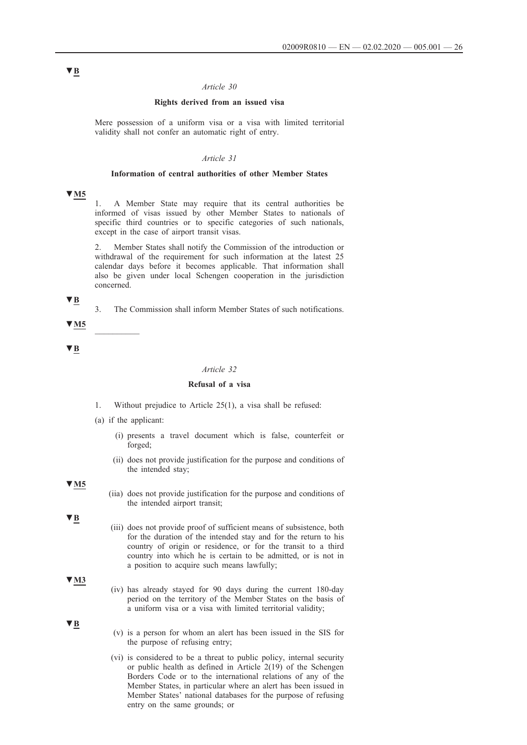### *Article 30*

### **Rights derived from an issued visa**

Mere possession of a uniform visa or a visa with limited territorial validity shall not confer an automatic right of entry.

#### *Article 31*

#### **Information of central authorities of other Member States**

### **▼M5**

1. A Member State may require that its central authorities be informed of visas issued by other Member States to nationals of specific third countries or to specific categories of such nationals, except in the case of airport transit visas.

2. Member States shall notify the Commission of the introduction or withdrawal of the requirement for such information at the latest 25 calendar days before it becomes applicable. That information shall also be given under local Schengen cooperation in the jurisdiction concerned.

3. The Commission shall inform Member States of such notifications.

```
▼M5 __________
```
**▼B**

**▼B**

#### *Article 32*

#### **Refusal of a visa**

- 1. Without prejudice to Article 25(1), a visa shall be refused:
- (a) if the applicant:
	- (i) presents a travel document which is false, counterfeit or forged;
	- (ii) does not provide justification for the purpose and conditions of the intended stay;

**▼M5**

- (iia) does not provide justification for the purpose and conditions of the intended airport transit;
- (iii) does not provide proof of sufficient means of subsistence, both for the duration of the intended stay and for the return to his country of origin or residence, or for the transit to a third country into which he is certain to be admitted, or is not in a position to acquire such means lawfully;
- **▼M3**
- (iv) has already stayed for 90 days during the current 180-day period on the territory of the Member States on the basis of a uniform visa or a visa with limited territorial validity;
- **▼B**
- (v) is a person for whom an alert has been issued in the SIS for the purpose of refusing entry;
- (vi) is considered to be a threat to public policy, internal security or public health as defined in Article 2(19) of the Schengen Borders Code or to the international relations of any of the Member States, in particular where an alert has been issued in Member States' national databases for the purpose of refusing entry on the same grounds; or

### **▼B**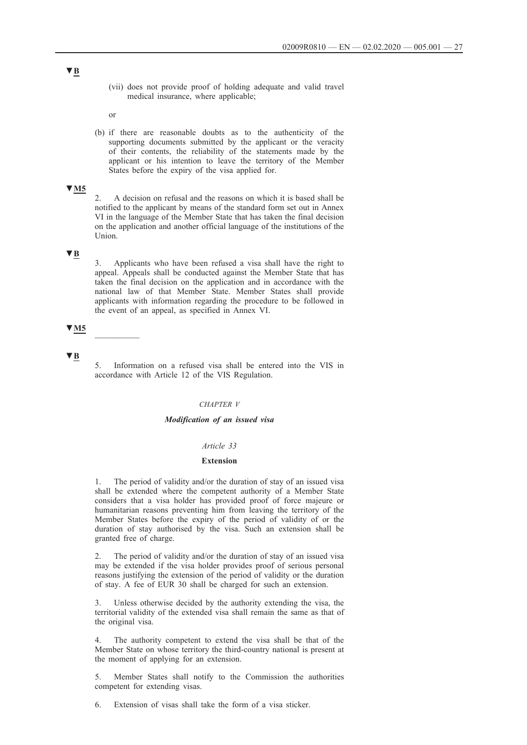(vii) does not provide proof of holding adequate and valid travel medical insurance, where applicable;

or

(b) if there are reasonable doubts as to the authenticity of the supporting documents submitted by the applicant or the veracity of their contents, the reliability of the statements made by the applicant or his intention to leave the territory of the Member States before the expiry of the visa applied for.

# **▼M5**

2. A decision on refusal and the reasons on which it is based shall be notified to the applicant by means of the standard form set out in Annex VI in the language of the Member State that has taken the final decision on the application and another official language of the institutions of the Union.

### **▼B**

3. Applicants who have been refused a visa shall have the right to appeal. Appeals shall be conducted against the Member State that has taken the final decision on the application and in accordance with the national law of that Member State. Member States shall provide applicants with information regarding the procedure to be followed in the event of an appeal, as specified in Annex VI.

### **▼M5** \_\_\_\_\_\_\_\_\_\_

### **▼B**

5. Information on a refused visa shall be entered into the VIS in accordance with Article 12 of the VIS Regulation.

#### *CHAPTER V*

#### *Modification of an issued visa*

#### *Article 33*

#### **Extension**

1. The period of validity and/or the duration of stay of an issued visa shall be extended where the competent authority of a Member State considers that a visa holder has provided proof of force majeure or humanitarian reasons preventing him from leaving the territory of the Member States before the expiry of the period of validity of or the duration of stay authorised by the visa. Such an extension shall be granted free of charge.

2. The period of validity and/or the duration of stay of an issued visa may be extended if the visa holder provides proof of serious personal reasons justifying the extension of the period of validity or the duration of stay. A fee of EUR 30 shall be charged for such an extension.

3. Unless otherwise decided by the authority extending the visa, the territorial validity of the extended visa shall remain the same as that of the original visa.

The authority competent to extend the visa shall be that of the Member State on whose territory the third-country national is present at the moment of applying for an extension.

5. Member States shall notify to the Commission the authorities competent for extending visas.

6. Extension of visas shall take the form of a visa sticker.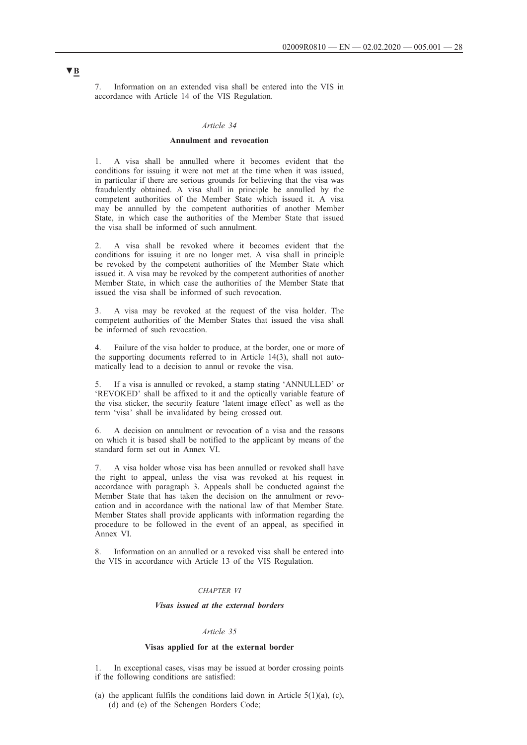7. Information on an extended visa shall be entered into the VIS in accordance with Article 14 of the VIS Regulation.

#### *Article 34*

#### **Annulment and revocation**

1. A visa shall be annulled where it becomes evident that the conditions for issuing it were not met at the time when it was issued, in particular if there are serious grounds for believing that the visa was fraudulently obtained. A visa shall in principle be annulled by the competent authorities of the Member State which issued it. A visa may be annulled by the competent authorities of another Member State, in which case the authorities of the Member State that issued the visa shall be informed of such annulment.

2. A visa shall be revoked where it becomes evident that the conditions for issuing it are no longer met. A visa shall in principle be revoked by the competent authorities of the Member State which issued it. A visa may be revoked by the competent authorities of another Member State, in which case the authorities of the Member State that issued the visa shall be informed of such revocation.

3. A visa may be revoked at the request of the visa holder. The competent authorities of the Member States that issued the visa shall be informed of such revocation.

Failure of the visa holder to produce, at the border, one or more of the supporting documents referred to in Article 14(3), shall not automatically lead to a decision to annul or revoke the visa.

If a visa is annulled or revoked, a stamp stating 'ANNULLED' or 'REVOKED' shall be affixed to it and the optically variable feature of the visa sticker, the security feature 'latent image effect' as well as the term 'visa' shall be invalidated by being crossed out.

6. A decision on annulment or revocation of a visa and the reasons on which it is based shall be notified to the applicant by means of the standard form set out in Annex VI.

7. A visa holder whose visa has been annulled or revoked shall have the right to appeal, unless the visa was revoked at his request in accordance with paragraph 3. Appeals shall be conducted against the Member State that has taken the decision on the annulment or revocation and in accordance with the national law of that Member State. Member States shall provide applicants with information regarding the procedure to be followed in the event of an appeal, as specified in Annex VI.

8. Information on an annulled or a revoked visa shall be entered into the VIS in accordance with Article 13 of the VIS Regulation.

#### *CHAPTER VI*

#### *Visas issued at the external borders*

#### *Article 35*

#### **Visas applied for at the external border**

In exceptional cases, visas may be issued at border crossing points if the following conditions are satisfied:

(a) the applicant fulfils the conditions laid down in Article  $5(1)(a)$ , (c), (d) and (e) of the Schengen Borders Code;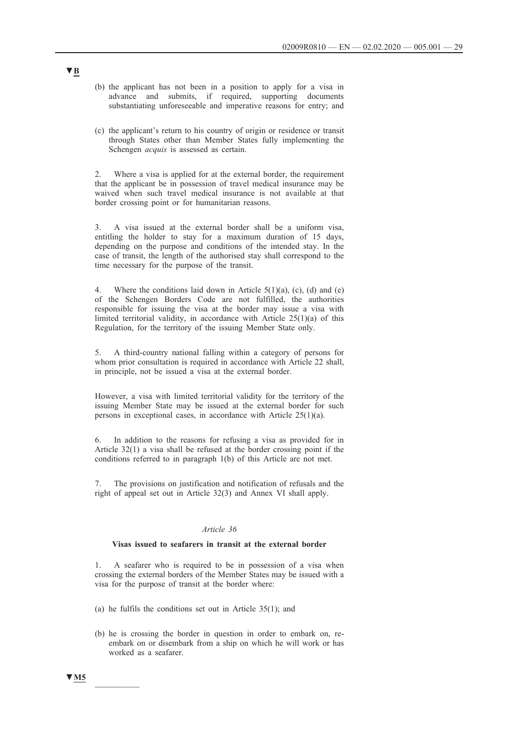- (b) the applicant has not been in a position to apply for a visa in advance and submits, if required, supporting documents substantiating unforeseeable and imperative reasons for entry; and
- (c) the applicant's return to his country of origin or residence or transit through States other than Member States fully implementing the Schengen *acquis* is assessed as certain.

2. Where a visa is applied for at the external border, the requirement that the applicant be in possession of travel medical insurance may be waived when such travel medical insurance is not available at that border crossing point or for humanitarian reasons.

3. A visa issued at the external border shall be a uniform visa, entitling the holder to stay for a maximum duration of 15 days, depending on the purpose and conditions of the intended stay. In the case of transit, the length of the authorised stay shall correspond to the time necessary for the purpose of the transit.

4. Where the conditions laid down in Article 5(1)(a), (c), (d) and (e) of the Schengen Borders Code are not fulfilled, the authorities responsible for issuing the visa at the border may issue a visa with limited territorial validity, in accordance with Article 25(1)(a) of this Regulation, for the territory of the issuing Member State only.

5. A third-country national falling within a category of persons for whom prior consultation is required in accordance with Article 22 shall, in principle, not be issued a visa at the external border.

However, a visa with limited territorial validity for the territory of the issuing Member State may be issued at the external border for such persons in exceptional cases, in accordance with Article 25(1)(a).

6. In addition to the reasons for refusing a visa as provided for in Article 32(1) a visa shall be refused at the border crossing point if the conditions referred to in paragraph 1(b) of this Article are not met.

7. The provisions on justification and notification of refusals and the right of appeal set out in Article 32(3) and Annex VI shall apply.

### *Article 36*

#### **Visas issued to seafarers in transit at the external border**

1. A seafarer who is required to be in possession of a visa when crossing the external borders of the Member States may be issued with a visa for the purpose of transit at the border where:

- (a) he fulfils the conditions set out in Article 35(1); and
- (b) he is crossing the border in question in order to embark on, reembark on or disembark from a ship on which he will work or has worked as a seafarer.

### **▼B**

**▼M5** \_\_\_\_\_\_\_\_\_\_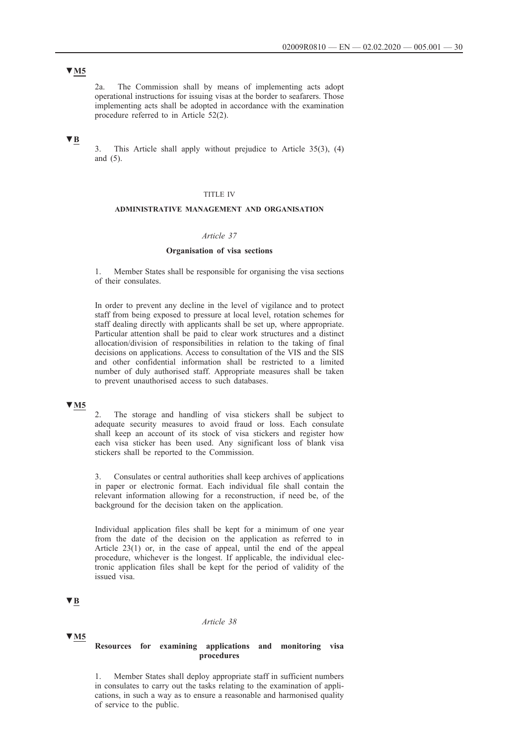# **▼M5**

2a. The Commission shall by means of implementing acts adopt operational instructions for issuing visas at the border to seafarers. Those implementing acts shall be adopted in accordance with the examination procedure referred to in Article 52(2).

# **▼B**

3. This Article shall apply without prejudice to Article 35(3), (4) and (5).

#### TITLE IV

#### **ADMINISTRATIVE MANAGEMENT AND ORGANISATION**

#### *Article 37*

#### **Organisation of visa sections**

1. Member States shall be responsible for organising the visa sections of their consulates.

In order to prevent any decline in the level of vigilance and to protect staff from being exposed to pressure at local level, rotation schemes for staff dealing directly with applicants shall be set up, where appropriate. Particular attention shall be paid to clear work structures and a distinct allocation/division of responsibilities in relation to the taking of final decisions on applications. Access to consultation of the VIS and the SIS and other confidential information shall be restricted to a limited number of duly authorised staff. Appropriate measures shall be taken to prevent unauthorised access to such databases.

## **▼M5**

2. The storage and handling of visa stickers shall be subject to adequate security measures to avoid fraud or loss. Each consulate shall keep an account of its stock of visa stickers and register how each visa sticker has been used. Any significant loss of blank visa stickers shall be reported to the Commission.

3. Consulates or central authorities shall keep archives of applications in paper or electronic format. Each individual file shall contain the relevant information allowing for a reconstruction, if need be, of the background for the decision taken on the application.

Individual application files shall be kept for a minimum of one year from the date of the decision on the application as referred to in Article 23(1) or, in the case of appeal, until the end of the appeal procedure, whichever is the longest. If applicable, the individual electronic application files shall be kept for the period of validity of the issued visa.

#### **▼B**

#### *Article 38*

**▼M5**

#### **Resources for examining applications and monitoring visa procedures**

1. Member States shall deploy appropriate staff in sufficient numbers in consulates to carry out the tasks relating to the examination of applications, in such a way as to ensure a reasonable and harmonised quality of service to the public.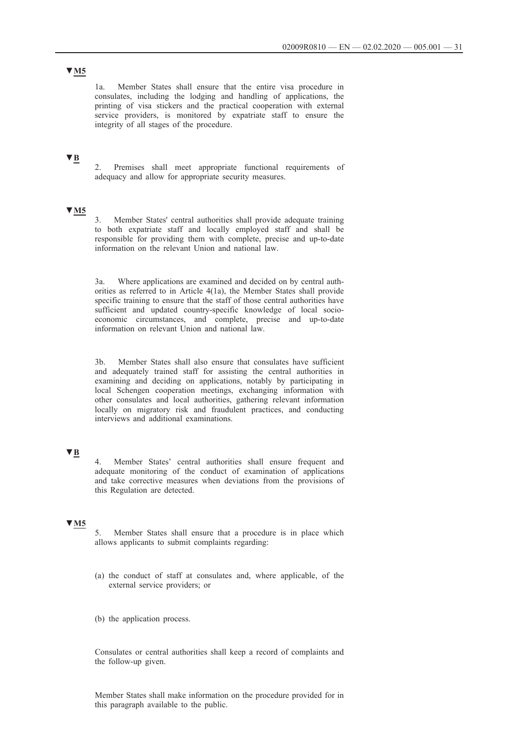1a. Member States shall ensure that the entire visa procedure in consulates, including the lodging and handling of applications, the printing of visa stickers and the practical cooperation with external service providers, is monitored by expatriate staff to ensure the integrity of all stages of the procedure.

### **▼B**

2. Premises shall meet appropriate functional requirements of adequacy and allow for appropriate security measures.

### **▼M5**

3. Member States' central authorities shall provide adequate training to both expatriate staff and locally employed staff and shall be responsible for providing them with complete, precise and up-to-date information on the relevant Union and national law.

3a. Where applications are examined and decided on by central authorities as referred to in Article 4(1a), the Member States shall provide specific training to ensure that the staff of those central authorities have sufficient and updated country-specific knowledge of local socioeconomic circumstances, and complete, precise and up-to-date information on relevant Union and national law.

3b. Member States shall also ensure that consulates have sufficient and adequately trained staff for assisting the central authorities in examining and deciding on applications, notably by participating in local Schengen cooperation meetings, exchanging information with other consulates and local authorities, gathering relevant information locally on migratory risk and fraudulent practices, and conducting interviews and additional examinations.

### **▼B**

Member States' central authorities shall ensure frequent and adequate monitoring of the conduct of examination of applications and take corrective measures when deviations from the provisions of this Regulation are detected.

### **▼M5**

5. Member States shall ensure that a procedure is in place which allows applicants to submit complaints regarding:

- (a) the conduct of staff at consulates and, where applicable, of the external service providers; or
- (b) the application process.

Consulates or central authorities shall keep a record of complaints and the follow-up given.

Member States shall make information on the procedure provided for in this paragraph available to the public.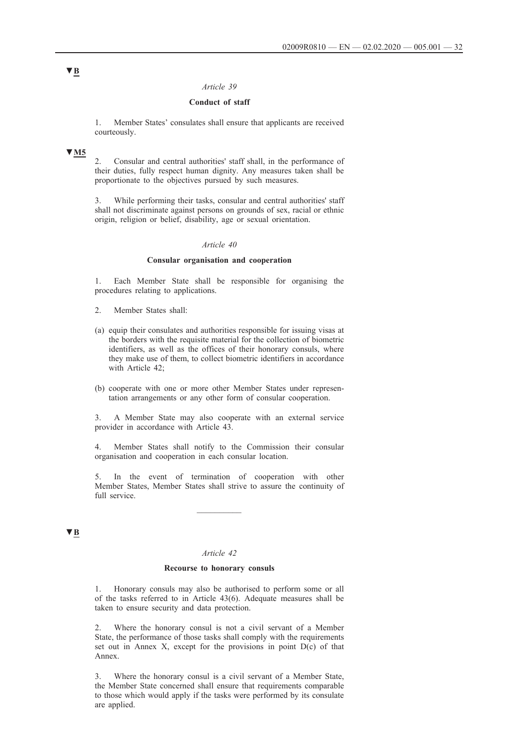### *Article 39*

### **Conduct of staff**

1. Member States' consulates shall ensure that applicants are received courteously.

### **▼M5**

2. Consular and central authorities' staff shall, in the performance of their duties, fully respect human dignity. Any measures taken shall be proportionate to the objectives pursued by such measures.

3. While performing their tasks, consular and central authorities' staff shall not discriminate against persons on grounds of sex, racial or ethnic origin, religion or belief, disability, age or sexual orientation.

#### *Article 40*

#### **Consular organisation and cooperation**

1. Each Member State shall be responsible for organising the procedures relating to applications.

2. Member States shall:

- (a) equip their consulates and authorities responsible for issuing visas at the borders with the requisite material for the collection of biometric identifiers, as well as the offices of their honorary consuls, where they make use of them, to collect biometric identifiers in accordance with Article 42;
- (b) cooperate with one or more other Member States under representation arrangements or any other form of consular cooperation.

3. A Member State may also cooperate with an external service provider in accordance with Article 43.

Member States shall notify to the Commission their consular organisation and cooperation in each consular location.

5. In the event of termination of cooperation with other Member States, Member States shall strive to assure the continuity of full service.

### **▼B**

#### *Article 42*

#### **Recourse to honorary consuls**

1. Honorary consuls may also be authorised to perform some or all of the tasks referred to in Article 43(6). Adequate measures shall be taken to ensure security and data protection.

Where the honorary consul is not a civil servant of a Member State, the performance of those tasks shall comply with the requirements set out in Annex X, except for the provisions in point  $D(c)$  of that Annex.

3. Where the honorary consul is a civil servant of a Member State, the Member State concerned shall ensure that requirements comparable to those which would apply if the tasks were performed by its consulate are applied.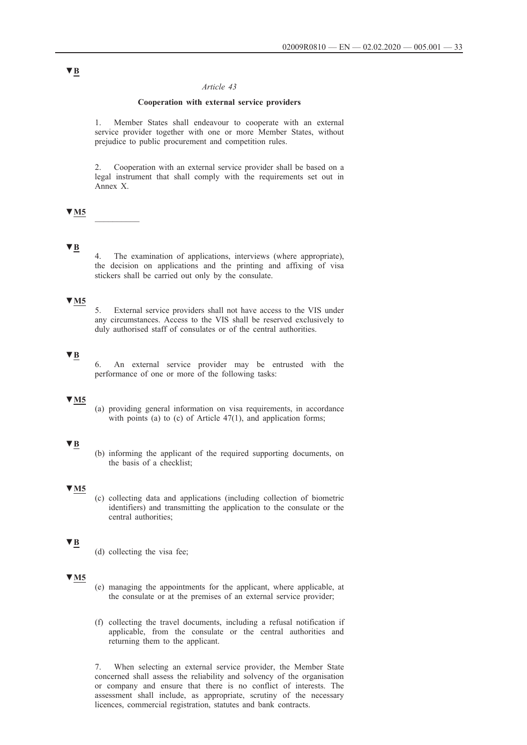### *Article 43*

### **Cooperation with external service providers**

1. Member States shall endeavour to cooperate with an external service provider together with one or more Member States, without prejudice to public procurement and competition rules.

2. Cooperation with an external service provider shall be based on a legal instrument that shall comply with the requirements set out in Annex X.

### **▼M5** \_\_\_\_\_\_\_\_\_\_

# **▼B**

4. The examination of applications, interviews (where appropriate), the decision on applications and the printing and affixing of visa stickers shall be carried out only by the consulate.

### **▼M5**

5. External service providers shall not have access to the VIS under any circumstances. Access to the VIS shall be reserved exclusively to duly authorised staff of consulates or of the central authorities.

### **▼B**

6. An external service provider may be entrusted with the performance of one or more of the following tasks:

### **▼M5**

(a) providing general information on visa requirements, in accordance with points (a) to (c) of Article 47(1), and application forms;

### **▼B**

(b) informing the applicant of the required supporting documents, on the basis of a checklist;

### **▼M5**

(c) collecting data and applications (including collection of biometric identifiers) and transmitting the application to the consulate or the central authorities;

### **▼B**

(d) collecting the visa fee;

### **▼M5**

- (e) managing the appointments for the applicant, where applicable, at the consulate or at the premises of an external service provider;
- (f) collecting the travel documents, including a refusal notification if applicable, from the consulate or the central authorities and returning them to the applicant.

7. When selecting an external service provider, the Member State concerned shall assess the reliability and solvency of the organisation or company and ensure that there is no conflict of interests. The assessment shall include, as appropriate, scrutiny of the necessary licences, commercial registration, statutes and bank contracts.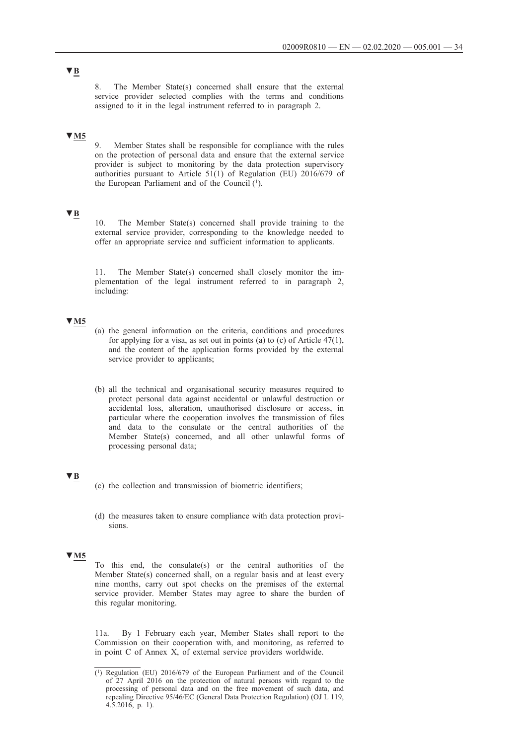8. The Member State(s) concerned shall ensure that the external service provider selected complies with the terms and conditions assigned to it in the legal instrument referred to in paragraph 2.

### **▼M5**

9. Member States shall be responsible for compliance with the rules on the protection of personal data and ensure that the external service provider is subject to monitoring by the data protection supervisory authorities pursuant to Article 51(1) of Regulation (EU) 2016/679 of the European Parliament and of the Council  $(1)$ .

### **▼B**

10. The Member State(s) concerned shall provide training to the external service provider, corresponding to the knowledge needed to offer an appropriate service and sufficient information to applicants.

11. The Member State(s) concerned shall closely monitor the implementation of the legal instrument referred to in paragraph 2, including:

### **▼M5**

- (a) the general information on the criteria, conditions and procedures for applying for a visa, as set out in points (a) to (c) of Article  $47(1)$ , and the content of the application forms provided by the external service provider to applicants;
- (b) all the technical and organisational security measures required to protect personal data against accidental or unlawful destruction or accidental loss, alteration, unauthorised disclosure or access, in particular where the cooperation involves the transmission of files and data to the consulate or the central authorities of the Member State(s) concerned, and all other unlawful forms of processing personal data;

### **▼B**

- (c) the collection and transmission of biometric identifiers;
- (d) the measures taken to ensure compliance with data protection provisions.

### **▼M5**

To this end, the consulate(s) or the central authorities of the Member State(s) concerned shall, on a regular basis and at least every nine months, carry out spot checks on the premises of the external service provider. Member States may agree to share the burden of this regular monitoring.

11a. By 1 February each year, Member States shall report to the Commission on their cooperation with, and monitoring, as referred to in point C of Annex X, of external service providers worldwide.

<sup>(1)</sup> Regulation (EU) 2016/679 of the European Parliament and of the Council of 27 April 2016 on the protection of natural persons with regard to the processing of personal data and on the free movement of such data, and repealing Directive 95/46/EC (General Data Protection Regulation) (OJ L 119, 4.5.2016, p. 1).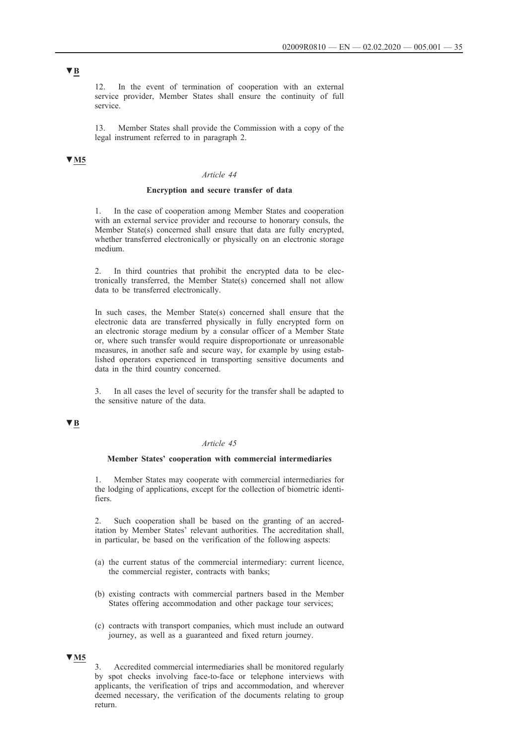12. In the event of termination of cooperation with an external service provider, Member States shall ensure the continuity of full service.

13. Member States shall provide the Commission with a copy of the legal instrument referred to in paragraph 2.

# **▼M5**

#### *Article 44*

#### **Encryption and secure transfer of data**

1. In the case of cooperation among Member States and cooperation with an external service provider and recourse to honorary consuls, the Member State(s) concerned shall ensure that data are fully encrypted, whether transferred electronically or physically on an electronic storage medium.

2. In third countries that prohibit the encrypted data to be electronically transferred, the Member State(s) concerned shall not allow data to be transferred electronically.

In such cases, the Member State(s) concerned shall ensure that the electronic data are transferred physically in fully encrypted form on an electronic storage medium by a consular officer of a Member State or, where such transfer would require disproportionate or unreasonable measures, in another safe and secure way, for example by using established operators experienced in transporting sensitive documents and data in the third country concerned.

3. In all cases the level of security for the transfer shall be adapted to the sensitive nature of the data.

# **▼B**

### *Article 45*

### **Member States' cooperation with commercial intermediaries**

1. Member States may cooperate with commercial intermediaries for the lodging of applications, except for the collection of biometric identifiers.

2. Such cooperation shall be based on the granting of an accreditation by Member States' relevant authorities. The accreditation shall, in particular, be based on the verification of the following aspects:

- (a) the current status of the commercial intermediary: current licence, the commercial register, contracts with banks;
- (b) existing contracts with commercial partners based in the Member States offering accommodation and other package tour services;
- (c) contracts with transport companies, which must include an outward journey, as well as a guaranteed and fixed return journey.

### **▼M5**

3. Accredited commercial intermediaries shall be monitored regularly by spot checks involving face-to-face or telephone interviews with applicants, the verification of trips and accommodation, and wherever deemed necessary, the verification of the documents relating to group return.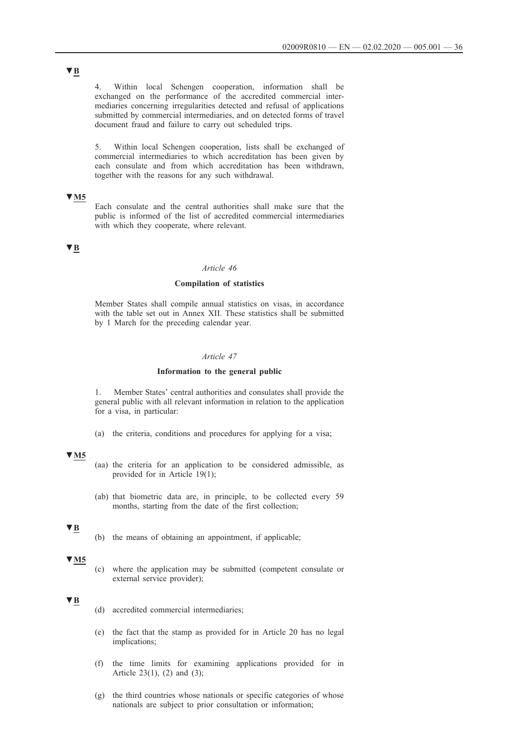4. Within local Schengen cooperation, information shall be exchanged on the performance of the accredited commercial intermediaries concerning irregularities detected and refusal of applications submitted by commercial intermediaries, and on detected forms of travel document fraud and failure to carry out scheduled trips.

5. Within local Schengen cooperation, lists shall be exchanged of commercial intermediaries to which accreditation has been given by each consulate and from which accreditation has been withdrawn, together with the reasons for any such withdrawal.

### **▼M5**

Each consulate and the central authorities shall make sure that the public is informed of the list of accredited commercial intermediaries with which they cooperate, where relevant.

### **▼B**

### *Article 46*

### **Compilation of statistics**

Member States shall compile annual statistics on visas, in accordance with the table set out in Annex XII. These statistics shall be submitted by 1 March for the preceding calendar year.

#### *Article 47*

#### **Information to the general public**

1. Member States' central authorities and consulates shall provide the general public with all relevant information in relation to the application for a visa, in particular:

(a) the criteria, conditions and procedures for applying for a visa;

#### **▼M5**

- (aa) the criteria for an application to be considered admissible, as provided for in Article 19(1);
- (ab) that biometric data are, in principle, to be collected every 59 months, starting from the date of the first collection;

### **▼B**

(b) the means of obtaining an appointment, if applicable;

### **▼M5**

(c) where the application may be submitted (competent consulate or external service provider);

### **▼B**

- (d) accredited commercial intermediaries;
- (e) the fact that the stamp as provided for in Article 20 has no legal implications;
- (f) the time limits for examining applications provided for in Article 23(1), (2) and (3);
- (g) the third countries whose nationals or specific categories of whose nationals are subject to prior consultation or information;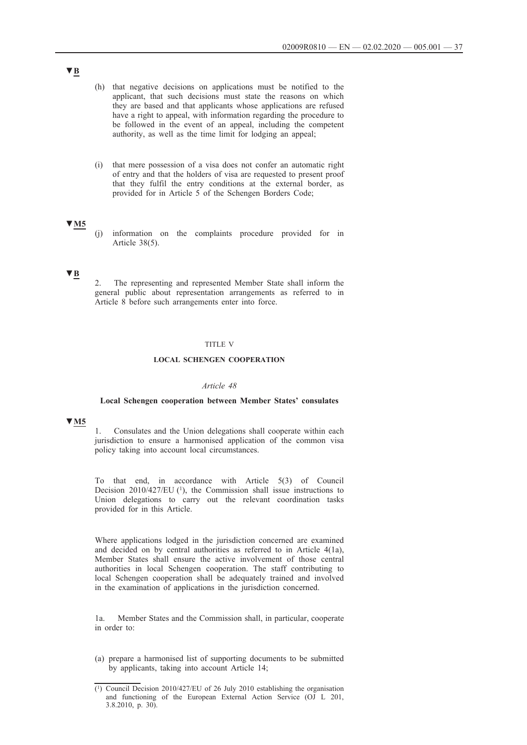- (h) that negative decisions on applications must be notified to the applicant, that such decisions must state the reasons on which they are based and that applicants whose applications are refused have a right to appeal, with information regarding the procedure to be followed in the event of an appeal, including the competent authority, as well as the time limit for lodging an appeal;
- (i) that mere possession of a visa does not confer an automatic right of entry and that the holders of visa are requested to present proof that they fulfil the entry conditions at the external border, as provided for in Article 5 of the Schengen Borders Code;

### **▼M5**

(j) information on the complaints procedure provided for in Article 38(5).

### **▼B**

2. The representing and represented Member State shall inform the general public about representation arrangements as referred to in Article 8 before such arrangements enter into force.

### TITLE V

### **LOCAL SCHENGEN COOPERATION**

#### *Article 48*

#### **Local Schengen cooperation between Member States' consulates**

### **▼M5**

1. Consulates and the Union delegations shall cooperate within each jurisdiction to ensure a harmonised application of the common visa policy taking into account local circumstances.

To that end, in accordance with Article 5(3) of Council Decision  $2010/427/EU$  (<sup>1</sup>), the Commission shall issue instructions to Union delegations to carry out the relevant coordination tasks provided for in this Article.

Where applications lodged in the jurisdiction concerned are examined and decided on by central authorities as referred to in Article 4(1a), Member States shall ensure the active involvement of those central authorities in local Schengen cooperation. The staff contributing to local Schengen cooperation shall be adequately trained and involved in the examination of applications in the jurisdiction concerned.

1a. Member States and the Commission shall, in particular, cooperate in order to:

(a) prepare a harmonised list of supporting documents to be submitted by applicants, taking into account Article 14;

<sup>(1)</sup> Council Decision 2010/427/EU of 26 July 2010 establishing the organisation and functioning of the European External Action Service (OJ L 201, 3.8.2010, p. 30).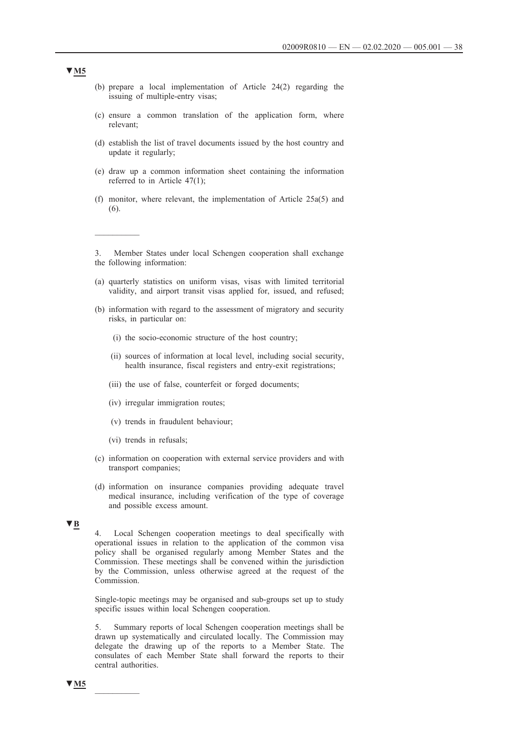- (b) prepare a local implementation of Article 24(2) regarding the issuing of multiple-entry visas;
- (c) ensure a common translation of the application form, where relevant;
- (d) establish the list of travel documents issued by the host country and update it regularly;
- (e) draw up a common information sheet containing the information referred to in Article 47(1);
- (f) monitor, where relevant, the implementation of Article 25a(5) and (6).
- 3. Member States under local Schengen cooperation shall exchange the following information:
- (a) quarterly statistics on uniform visas, visas with limited territorial validity, and airport transit visas applied for, issued, and refused;
- (b) information with regard to the assessment of migratory and security risks, in particular on:
	- (i) the socio-economic structure of the host country;
	- (ii) sources of information at local level, including social security, health insurance, fiscal registers and entry-exit registrations;
	- (iii) the use of false, counterfeit or forged documents;
	- (iv) irregular immigration routes;
	- (v) trends in fraudulent behaviour;
	- (vi) trends in refusals;

 $\frac{1}{2}$ 

- (c) information on cooperation with external service providers and with transport companies;
- (d) information on insurance companies providing adequate travel medical insurance, including verification of the type of coverage and possible excess amount.

### **▼B**

4. Local Schengen cooperation meetings to deal specifically with operational issues in relation to the application of the common visa policy shall be organised regularly among Member States and the Commission. These meetings shall be convened within the jurisdiction by the Commission, unless otherwise agreed at the request of the Commission.

Single-topic meetings may be organised and sub-groups set up to study specific issues within local Schengen cooperation.

5. Summary reports of local Schengen cooperation meetings shall be drawn up systematically and circulated locally. The Commission may delegate the drawing up of the reports to a Member State. The consulates of each Member State shall forward the reports to their central authorities.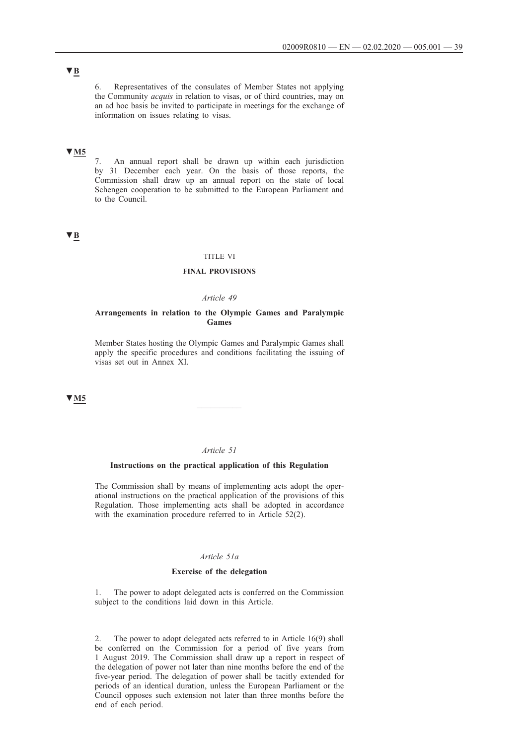6. Representatives of the consulates of Member States not applying the Community *acquis* in relation to visas, or of third countries, may on an ad hoc basis be invited to participate in meetings for the exchange of information on issues relating to visas.

### **▼M5**

7. An annual report shall be drawn up within each jurisdiction by 31 December each year. On the basis of those reports, the Commission shall draw up an annual report on the state of local Schengen cooperation to be submitted to the European Parliament and to the Council.

### **▼B**

#### TITLE VI

### **FINAL PROVISIONS**

#### *Article 49*

#### **Arrangements in relation to the Olympic Games and Paralympic Games**

Member States hosting the Olympic Games and Paralympic Games shall apply the specific procedures and conditions facilitating the issuing of visas set out in Annex XI.

# ▼ <u>M5</u>

### *Article 51*

#### **Instructions on the practical application of this Regulation**

The Commission shall by means of implementing acts adopt the operational instructions on the practical application of the provisions of this Regulation. Those implementing acts shall be adopted in accordance with the examination procedure referred to in Article 52(2).

### *Article 51a*

#### **Exercise of the delegation**

1. The power to adopt delegated acts is conferred on the Commission subject to the conditions laid down in this Article.

2. The power to adopt delegated acts referred to in Article 16(9) shall be conferred on the Commission for a period of five years from 1 August 2019. The Commission shall draw up a report in respect of the delegation of power not later than nine months before the end of the five-year period. The delegation of power shall be tacitly extended for periods of an identical duration, unless the European Parliament or the Council opposes such extension not later than three months before the end of each period.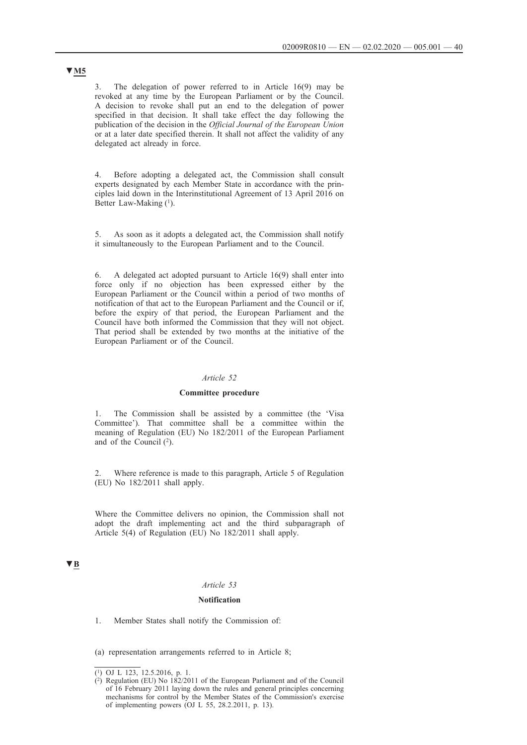3. The delegation of power referred to in Article 16(9) may be revoked at any time by the European Parliament or by the Council. A decision to revoke shall put an end to the delegation of power specified in that decision. It shall take effect the day following the publication of the decision in the *Official Journal of the European Union* or at a later date specified therein. It shall not affect the validity of any delegated act already in force.

4. Before adopting a delegated act, the Commission shall consult experts designated by each Member State in accordance with the principles laid down in the Interinstitutional Agreement of 13 April 2016 on Better Law-Making (1).

5. As soon as it adopts a delegated act, the Commission shall notify it simultaneously to the European Parliament and to the Council.

6. A delegated act adopted pursuant to Article 16(9) shall enter into force only if no objection has been expressed either by the European Parliament or the Council within a period of two months of notification of that act to the European Parliament and the Council or if, before the expiry of that period, the European Parliament and the Council have both informed the Commission that they will not object. That period shall be extended by two months at the initiative of the European Parliament or of the Council.

#### *Article 52*

#### **Committee procedure**

1. The Commission shall be assisted by a committee (the 'Visa Committee'). That committee shall be a committee within the meaning of Regulation (EU) No 182/2011 of the European Parliament and of the Council (2).

2. Where reference is made to this paragraph, Article 5 of Regulation (EU) No 182/2011 shall apply.

Where the Committee delivers no opinion, the Commission shall not adopt the draft implementing act and the third subparagraph of Article 5(4) of Regulation (EU) No 182/2011 shall apply.

# **▼B**

### *Article 53*

#### **Notification**

1. Member States shall notify the Commission of:

(a) representation arrangements referred to in Article 8;

<sup>(1)</sup> OJ L 123, 12.5.2016, p. 1.

<sup>(2)</sup> Regulation (EU) No 182/2011 of the European Parliament and of the Council of 16 February 2011 laying down the rules and general principles concerning mechanisms for control by the Member States of the Commission's exercise of implementing powers (OJ L 55, 28.2.2011, p. 13).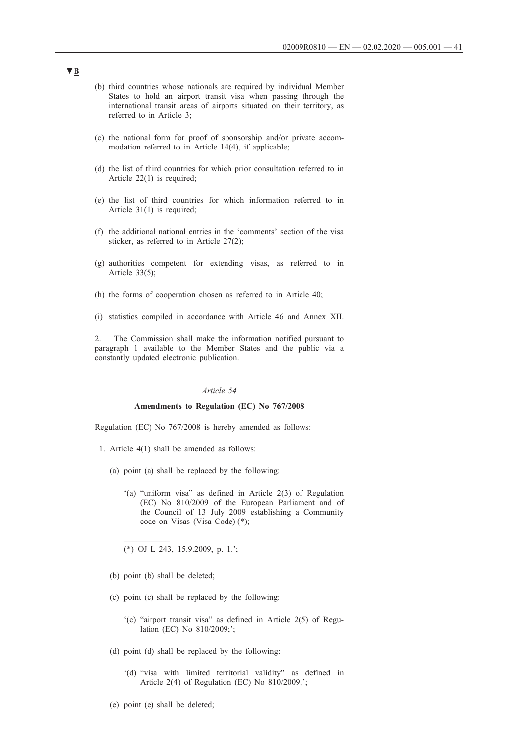- (b) third countries whose nationals are required by individual Member States to hold an airport transit visa when passing through the international transit areas of airports situated on their territory, as referred to in Article 3;
- (c) the national form for proof of sponsorship and/or private accommodation referred to in Article 14(4), if applicable;
- (d) the list of third countries for which prior consultation referred to in Article 22(1) is required;
- (e) the list of third countries for which information referred to in Article 31(1) is required;
- (f) the additional national entries in the 'comments' section of the visa sticker, as referred to in Article 27(2);
- (g) authorities competent for extending visas, as referred to in Article 33(5);
- (h) the forms of cooperation chosen as referred to in Article 40;
- (i) statistics compiled in accordance with Article 46 and Annex XII.

2. The Commission shall make the information notified pursuant to paragraph 1 available to the Member States and the public via a constantly updated electronic publication.

### *Article 54*

#### **Amendments to Regulation (EC) No 767/2008**

Regulation (EC) No 767/2008 is hereby amended as follows:

- 1. Article 4(1) shall be amended as follows:
	- (a) point (a) shall be replaced by the following:
		- '(a) "uniform visa" as defined in Article 2(3) of Regulation (EC) No 810/2009 of the European Parliament and of the Council of 13 July 2009 establishing a Community code on Visas (Visa Code) (\*);

(\*) OJ L 243, 15.9.2009, p. 1.';

(b) point (b) shall be deleted;

 $\frac{1}{2}$ 

(c) point (c) shall be replaced by the following:

- (d) point (d) shall be replaced by the following:
	- '(d) "visa with limited territorial validity" as defined in Article 2(4) of Regulation (EC) No 810/2009;';
- (e) point (e) shall be deleted;

<sup>&#</sup>x27;(c) "airport transit visa" as defined in Article 2(5) of Regulation (EC) No 810/2009;';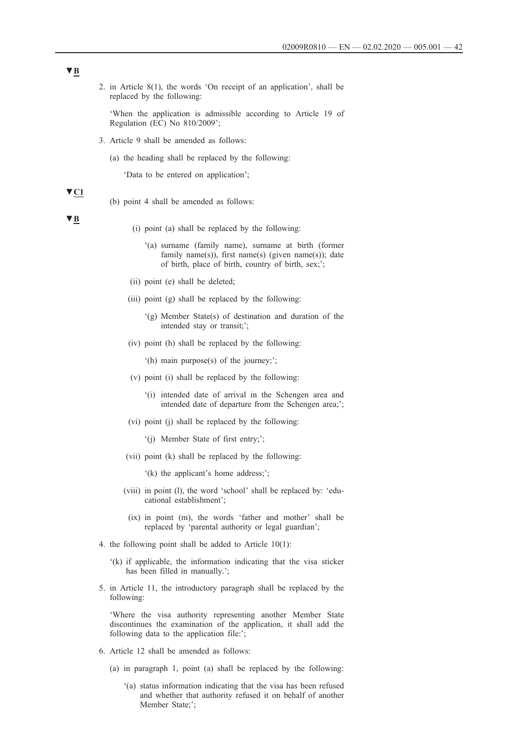2. in Article 8(1), the words 'On receipt of an application', shall be replaced by the following:

'When the application is admissible according to Article 19 of Regulation (EC) No 810/2009';

- 3. Article 9 shall be amended as follows:
	- (a) the heading shall be replaced by the following:

'Data to be entered on application';

### **▼C1**

(b) point 4 shall be amended as follows:

### **▼B**

- (i) point (a) shall be replaced by the following:
	- '(a) surname (family name), surname at birth (former family name(s)), first name(s) (given name(s)); date of birth, place of birth, country of birth, sex;';
- (ii) point (e) shall be deleted;
- (iii) point (g) shall be replaced by the following:
	- '(g) Member State(s) of destination and duration of the intended stay or transit;';
- (iv) point (h) shall be replaced by the following:
	- '(h) main purpose(s) of the journey;';
- (v) point (i) shall be replaced by the following:
	- '(i) intended date of arrival in the Schengen area and intended date of departure from the Schengen area;';
- (vi) point (j) shall be replaced by the following:
	- '(j) Member State of first entry;';
- (vii) point (k) shall be replaced by the following:

'(k) the applicant's home address;';

- (viii) in point (l), the word 'school' shall be replaced by: 'educational establishment';
- (ix) in point (m), the words 'father and mother' shall be replaced by 'parental authority or legal guardian';
- 4. the following point shall be added to Article 10(1):
	- '(k) if applicable, the information indicating that the visa sticker has been filled in manually.';
- 5. in Article 11, the introductory paragraph shall be replaced by the following:

'Where the visa authority representing another Member State discontinues the examination of the application, it shall add the following data to the application file:';

- 6. Article 12 shall be amended as follows:
	- (a) in paragraph 1, point (a) shall be replaced by the following:
		- '(a) status information indicating that the visa has been refused and whether that authority refused it on behalf of another Member State;';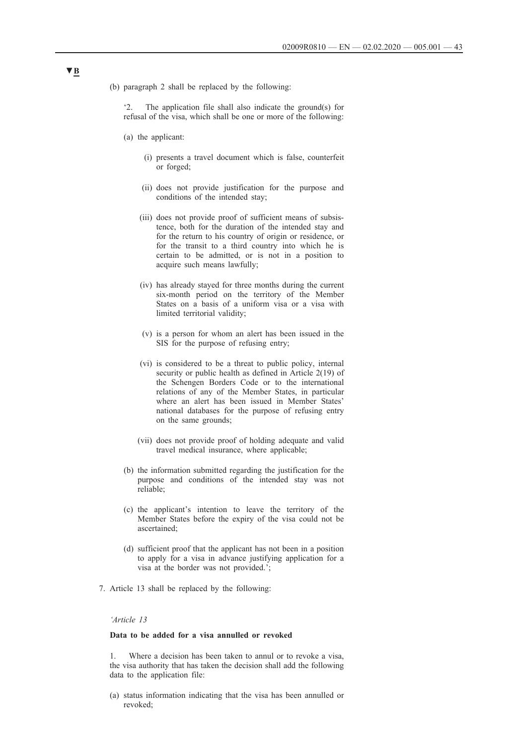(b) paragraph 2 shall be replaced by the following:

'2. The application file shall also indicate the ground(s) for refusal of the visa, which shall be one or more of the following:

- (a) the applicant:
	- (i) presents a travel document which is false, counterfeit or forged;
	- (ii) does not provide justification for the purpose and conditions of the intended stay;
	- (iii) does not provide proof of sufficient means of subsistence, both for the duration of the intended stay and for the return to his country of origin or residence, or for the transit to a third country into which he is certain to be admitted, or is not in a position to acquire such means lawfully;
	- (iv) has already stayed for three months during the current six-month period on the territory of the Member States on a basis of a uniform visa or a visa with limited territorial validity;
	- (v) is a person for whom an alert has been issued in the SIS for the purpose of refusing entry;
	- (vi) is considered to be a threat to public policy, internal security or public health as defined in Article 2(19) of the Schengen Borders Code or to the international relations of any of the Member States, in particular where an alert has been issued in Member States' national databases for the purpose of refusing entry on the same grounds;
	- (vii) does not provide proof of holding adequate and valid travel medical insurance, where applicable;
- (b) the information submitted regarding the justification for the purpose and conditions of the intended stay was not reliable;
- (c) the applicant's intention to leave the territory of the Member States before the expiry of the visa could not be ascertained;
- (d) sufficient proof that the applicant has not been in a position to apply for a visa in advance justifying application for a visa at the border was not provided.';
- 7. Article 13 shall be replaced by the following:

#### *'Article 13*

#### **Data to be added for a visa annulled or revoked**

1. Where a decision has been taken to annul or to revoke a visa, the visa authority that has taken the decision shall add the following data to the application file:

(a) status information indicating that the visa has been annulled or revoked;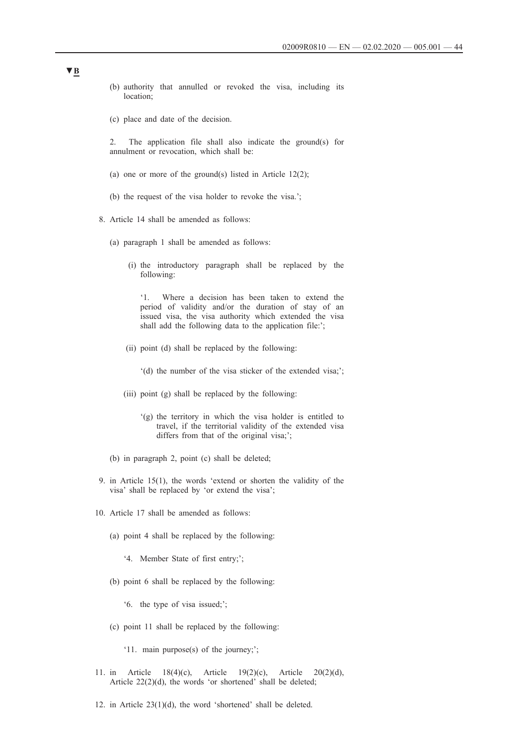- (b) authority that annulled or revoked the visa, including its location;
- (c) place and date of the decision.

2. The application file shall also indicate the ground(s) for annulment or revocation, which shall be:

- (a) one or more of the ground(s) listed in Article 12(2);
- (b) the request of the visa holder to revoke the visa.';
- 8. Article 14 shall be amended as follows:
	- (a) paragraph 1 shall be amended as follows:
		- (i) the introductory paragraph shall be replaced by the following:

'1. Where a decision has been taken to extend the period of validity and/or the duration of stay of an issued visa, the visa authority which extended the visa shall add the following data to the application file:';

- (ii) point (d) shall be replaced by the following:
	- '(d) the number of the visa sticker of the extended visa;';
- (iii) point (g) shall be replaced by the following:
	- '(g) the territory in which the visa holder is entitled to travel, if the territorial validity of the extended visa differs from that of the original visa;';
- (b) in paragraph 2, point (c) shall be deleted;
- 9. in Article 15(1), the words 'extend or shorten the validity of the visa' shall be replaced by 'or extend the visa';
- 10. Article 17 shall be amended as follows:
	- (a) point 4 shall be replaced by the following:
		- '4. Member State of first entry;';
	- (b) point 6 shall be replaced by the following:
		- '6. the type of visa issued;';
	- (c) point 11 shall be replaced by the following:

'11. main purpose(s) of the journey;';

- 11. in Article 18(4)(c), Article 19(2)(c), Article 20(2)(d), Article 22(2)(d), the words 'or shortened' shall be deleted;
- 12. in Article 23(1)(d), the word 'shortened' shall be deleted.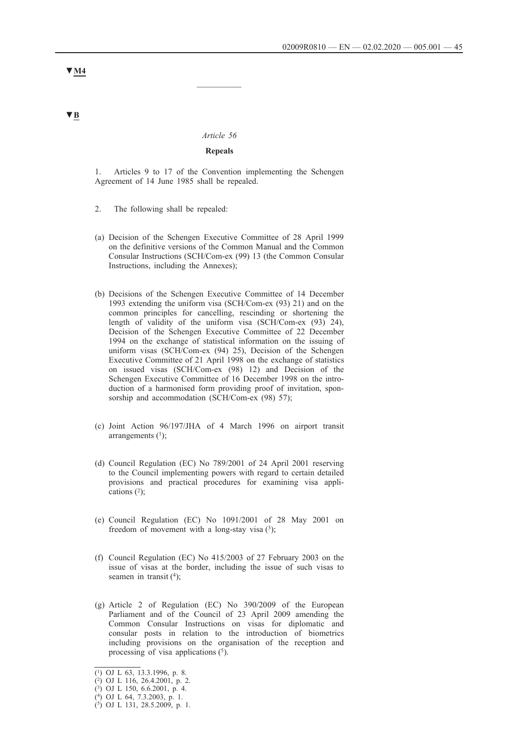### *Article 56*

 $\frac{1}{2}$ 

### **Repeals**

1. Articles 9 to 17 of the Convention implementing the Schengen Agreement of 14 June 1985 shall be repealed.

- 2. The following shall be repealed:
- (a) Decision of the Schengen Executive Committee of 28 April 1999 on the definitive versions of the Common Manual and the Common Consular Instructions (SCH/Com-ex (99) 13 (the Common Consular Instructions, including the Annexes);
- (b) Decisions of the Schengen Executive Committee of 14 December 1993 extending the uniform visa (SCH/Com-ex (93) 21) and on the common principles for cancelling, rescinding or shortening the length of validity of the uniform visa (SCH/Com-ex (93) 24), Decision of the Schengen Executive Committee of 22 December 1994 on the exchange of statistical information on the issuing of uniform visas (SCH/Com-ex (94) 25), Decision of the Schengen Executive Committee of 21 April 1998 on the exchange of statistics on issued visas (SCH/Com-ex (98) 12) and Decision of the Schengen Executive Committee of 16 December 1998 on the introduction of a harmonised form providing proof of invitation, sponsorship and accommodation (SCH/Com-ex (98) 57);
- (c) Joint Action 96/197/JHA of 4 March 1996 on airport transit arrangements  $(1)$ ;
- (d) Council Regulation (EC) No 789/2001 of 24 April 2001 reserving to the Council implementing powers with regard to certain detailed provisions and practical procedures for examining visa applications  $(2)$ ;
- (e) Council Regulation (EC) No 1091/2001 of 28 May 2001 on freedom of movement with a long-stay visa  $(3)$ ;
- (f) Council Regulation (EC) No 415/2003 of 27 February 2003 on the issue of visas at the border, including the issue of such visas to seamen in transit  $(4)$ ;
- (g) Article 2 of Regulation (EC) No 390/2009 of the European Parliament and of the Council of 23 April 2009 amending the Common Consular Instructions on visas for diplomatic and consular posts in relation to the introduction of biometrics including provisions on the organisation of the reception and processing of visa applications  $(5)$ .

# **▼M4**

 $\overline{(^1)}$  OJ L 63, 13.3.1996, p. 8.

<sup>(2)</sup> OJ L 116, 26.4.2001, p. 2.

<sup>(3)</sup> OJ L 150, 6.6.2001, p. 4.

<sup>(4)</sup> OJ L 64, 7.3.2003, p. 1.

<sup>(5)</sup> OJ L 131, 28.5.2009, p. 1.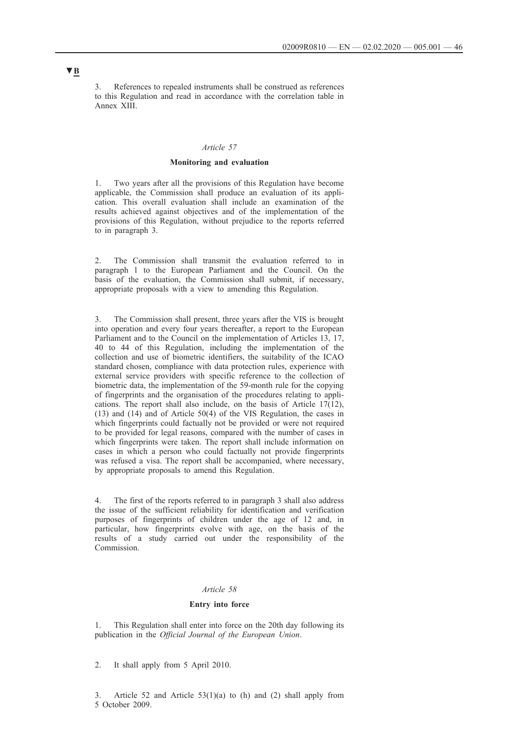3. References to repealed instruments shall be construed as references to this Regulation and read in accordance with the correlation table in Annex XIII.

### *Article 57*

#### **Monitoring and evaluation**

Two years after all the provisions of this Regulation have become applicable, the Commission shall produce an evaluation of its application. This overall evaluation shall include an examination of the results achieved against objectives and of the implementation of the provisions of this Regulation, without prejudice to the reports referred to in paragraph 3.

2. The Commission shall transmit the evaluation referred to in paragraph 1 to the European Parliament and the Council. On the basis of the evaluation, the Commission shall submit, if necessary, appropriate proposals with a view to amending this Regulation.

3. The Commission shall present, three years after the VIS is brought into operation and every four years thereafter, a report to the European Parliament and to the Council on the implementation of Articles 13, 17, 40 to 44 of this Regulation, including the implementation of the collection and use of biometric identifiers, the suitability of the ICAO standard chosen, compliance with data protection rules, experience with external service providers with specific reference to the collection of biometric data, the implementation of the 59-month rule for the copying of fingerprints and the organisation of the procedures relating to applications. The report shall also include, on the basis of Article 17(12), (13) and (14) and of Article 50(4) of the VIS Regulation, the cases in which fingerprints could factually not be provided or were not required to be provided for legal reasons, compared with the number of cases in which fingerprints were taken. The report shall include information on cases in which a person who could factually not provide fingerprints was refused a visa. The report shall be accompanied, where necessary, by appropriate proposals to amend this Regulation.

4. The first of the reports referred to in paragraph 3 shall also address the issue of the sufficient reliability for identification and verification purposes of fingerprints of children under the age of 12 and, in particular, how fingerprints evolve with age, on the basis of the results of a study carried out under the responsibility of the Commission.

### *Article 58*

### **Entry into force**

This Regulation shall enter into force on the 20th day following its publication in the *Official Journal of the European Union*.

2. It shall apply from 5 April 2010.

Article 52 and Article  $53(1)(a)$  to (h) and (2) shall apply from 5 October 2009.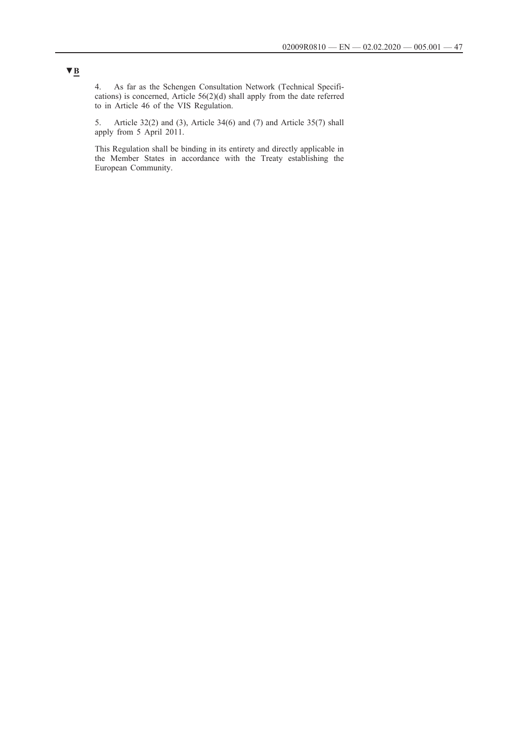4. As far as the Schengen Consultation Network (Technical Specifications) is concerned, Article 56(2)(d) shall apply from the date referred to in Article 46 of the VIS Regulation.

5. Article 32(2) and (3), Article 34(6) and (7) and Article 35(7) shall apply from 5 April 2011.

This Regulation shall be binding in its entirety and directly applicable in the Member States in accordance with the Treaty establishing the European Community.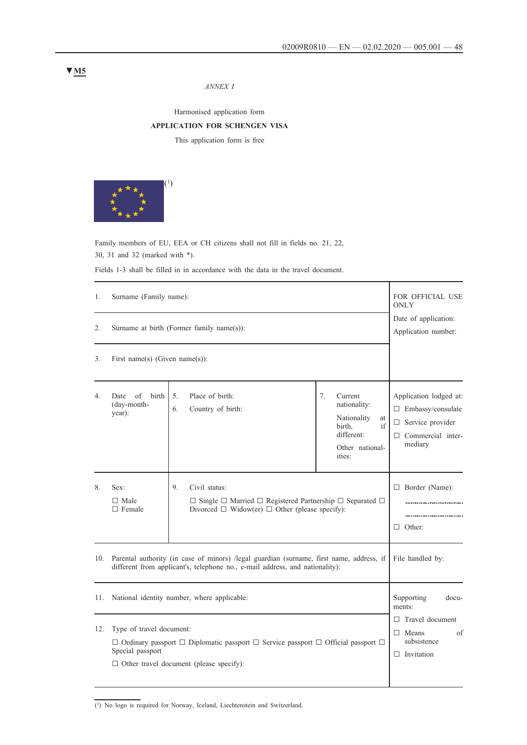### *ANNEX I*

Harmonised application form

This application form is free

<span id="page-47-0"></span>

Family members of EU, EEA or CH citizens shall not fill in fields no. 21, 22, 30, 31 and 32 (marked with \*).

Fields 1-3 shall be filled in in accordance with the data in the travel document.

| 1.  | Surname (Family name):                                                                                                                                                                                        |                                                                                                                                                                       |                                                                                                               | FOR OFFICIAL USE<br><b>ONLY</b>                                                                                      |
|-----|---------------------------------------------------------------------------------------------------------------------------------------------------------------------------------------------------------------|-----------------------------------------------------------------------------------------------------------------------------------------------------------------------|---------------------------------------------------------------------------------------------------------------|----------------------------------------------------------------------------------------------------------------------|
| 2.  | Surname at birth (Former family name(s)):                                                                                                                                                                     |                                                                                                                                                                       |                                                                                                               | Date of application:<br>Application number:                                                                          |
| 3.  | First name(s) (Given name(s)):                                                                                                                                                                                |                                                                                                                                                                       |                                                                                                               |                                                                                                                      |
| 4.  | of<br>birth<br>Date<br>(day-month-<br>year):                                                                                                                                                                  | 5.<br>Place of birth:<br>6.<br>Country of birth:                                                                                                                      | 7.<br>Current<br>nationality:<br>Nationality<br>at<br>if<br>birth,<br>different:<br>Other national-<br>ities: | Application lodged at:<br>$\Box$ Embassy/consulate<br>$\Box$ Service provider<br>$\Box$ Commercial inter-<br>mediary |
| 8.  | Sex:<br>$\Box$ Male<br>$\Box$ Female                                                                                                                                                                          | Civil status:<br>9.<br>$\Box$ Single $\Box$ Married $\Box$ Registered Partnership $\Box$ Separated $\Box$<br>Divorced $\Box$ Widow(er) $\Box$ Other (please specify): |                                                                                                               | $\Box$ Border (Name):<br>$\Box$ Other:                                                                               |
|     | 10. Parental authority (in case of minors) /legal guardian (surname, first name, address, if<br>different from applicant's, telephone no., e-mail address, and nationality):                                  |                                                                                                                                                                       |                                                                                                               | File handled by:                                                                                                     |
| 11. | National identity number, where applicable:                                                                                                                                                                   |                                                                                                                                                                       |                                                                                                               | Supporting<br>docu-<br>ments:                                                                                        |
| 12. | Type of travel document:<br>$\Box$ Ordinary passport $\Box$ Diplomatic passport $\Box$ Service passport $\Box$ Official passport $\Box$<br>Special passport<br>$\Box$ Other travel document (please specify): |                                                                                                                                                                       |                                                                                                               | $\Box$ Travel document<br>$\Box$ Means<br>of<br>subsistence<br>$\Box$ Invitation                                     |

#### <span id="page-47-1"></span>([1\)](#page-47-1) No logo is required for Norway, Iceland, Liechtenstein and Switzerland.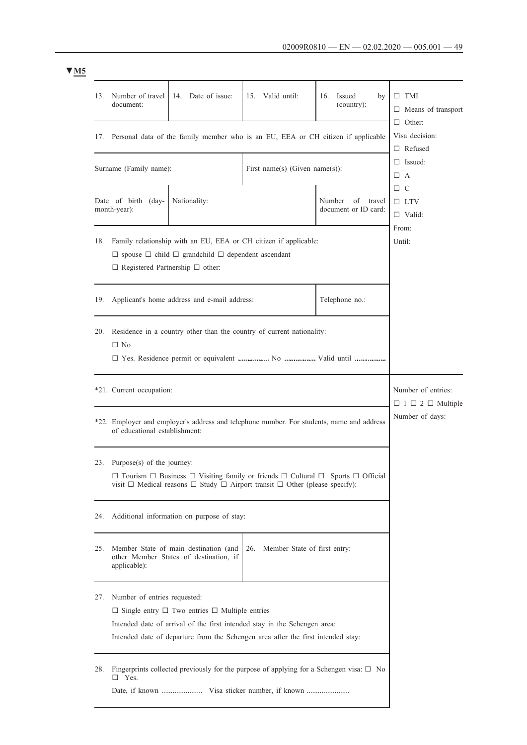| 13. | Number of travel<br>document:                                                                                                                                                                                                                      | 14. Date of issue:                                                      | Valid until:<br>15.                                                                                                                                           | Issued<br>16.<br>by<br>(country):                       | $\Box$ TMI<br>$\Box$ Means of transport           |  |
|-----|----------------------------------------------------------------------------------------------------------------------------------------------------------------------------------------------------------------------------------------------------|-------------------------------------------------------------------------|---------------------------------------------------------------------------------------------------------------------------------------------------------------|---------------------------------------------------------|---------------------------------------------------|--|
|     |                                                                                                                                                                                                                                                    |                                                                         | 17. Personal data of the family member who is an EU, EEA or CH citizen if applicable                                                                          |                                                         | $\Box$ Other:<br>Visa decision:<br>$\Box$ Refused |  |
|     | Surname (Family name):                                                                                                                                                                                                                             |                                                                         | First name(s) (Given name(s)):                                                                                                                                |                                                         | $\Box$ Issued:<br>$\Box$ A                        |  |
|     | Date of birth (day-<br>month-year):                                                                                                                                                                                                                | Nationality:                                                            |                                                                                                                                                               | Number<br>of<br>travel<br>document or ID card:          | $\Box$ C<br>$\Box$ LTV<br>$\Box$ Valid:           |  |
| 18. | $\Box$ Registered Partnership $\Box$ other:                                                                                                                                                                                                        | $\Box$ spouse $\Box$ child $\Box$ grandchild $\Box$ dependent ascendant | Family relationship with an EU, EEA or CH citizen if applicable:                                                                                              |                                                         | From:<br>Until:                                   |  |
| 19. |                                                                                                                                                                                                                                                    | Applicant's home address and e-mail address:                            |                                                                                                                                                               | Telephone no.:                                          |                                                   |  |
| 20. | Residence in a country other than the country of current nationality:<br>$\Box$ No                                                                                                                                                                 |                                                                         |                                                                                                                                                               |                                                         |                                                   |  |
|     | *21. Current occupation:                                                                                                                                                                                                                           |                                                                         |                                                                                                                                                               | Number of entries:<br>$\Box$ 1 $\Box$ 2 $\Box$ Multiple |                                                   |  |
|     | *22. Employer and employer's address and telephone number. For students, name and address<br>of educational establishment:                                                                                                                         |                                                                         |                                                                                                                                                               | Number of days:                                         |                                                   |  |
| 23. | Purpose $(s)$ of the journey:<br>$\Box$ Tourism $\Box$ Business $\Box$ Visiting family or friends $\Box$ Cultural $\Box$ Sports $\Box$ Official<br>visit $\Box$ Medical reasons $\Box$ Study $\Box$ Airport transit $\Box$ Other (please specify): |                                                                         |                                                                                                                                                               |                                                         |                                                   |  |
| 24. | Additional information on purpose of stay:                                                                                                                                                                                                         |                                                                         |                                                                                                                                                               |                                                         |                                                   |  |
| 25. | Member State of main destination (and<br>Member State of first entry:<br>26.<br>other Member States of destination, if<br>applicable):                                                                                                             |                                                                         |                                                                                                                                                               |                                                         |                                                   |  |
| 27. | Number of entries requested:                                                                                                                                                                                                                       | $\Box$ Single entry $\Box$ Two entries $\Box$ Multiple entries          | Intended date of arrival of the first intended stay in the Schengen area:<br>Intended date of departure from the Schengen area after the first intended stay: |                                                         |                                                   |  |
| 28. | Fingerprints collected previously for the purpose of applying for a Schengen visa: $\Box$ No<br>$\Box$ Yes.                                                                                                                                        |                                                                         |                                                                                                                                                               |                                                         |                                                   |  |
|     |                                                                                                                                                                                                                                                    |                                                                         |                                                                                                                                                               |                                                         |                                                   |  |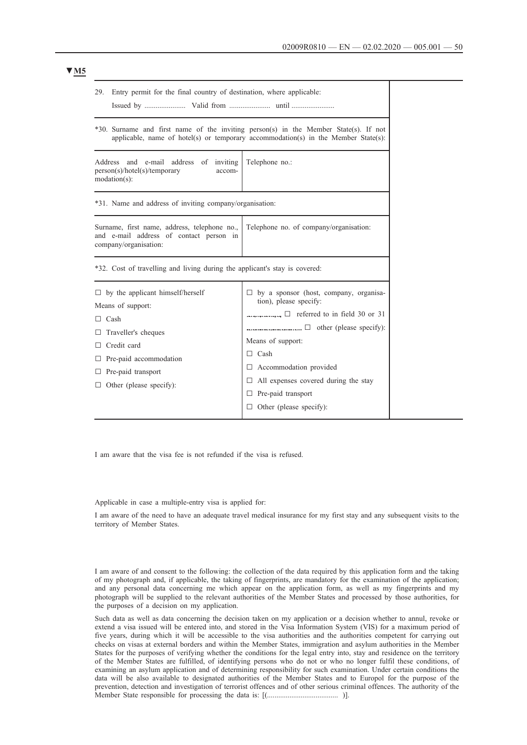29. Entry permit for the final country of destination, where applicable: Issued by ...................... Valid from ...................... until ....................... \*30. Surname and first name of the inviting person(s) in the Member State(s). If not applicable, name of hotel(s) or temporary accommodation(s) in the Member State(s): Address and e-mail address of inviting person(s)/hotel(s)/temporary accommodation(s): Telephone no.: \*31. Name and address of inviting company/organisation: Surname, first name, address, telephone no., and e-mail address of contact person in company/organisation: Telephone no. of company/organisation: \*32. Cost of travelling and living during the applicant's stay is covered:  $\square$  by the applicant himself/herself Means of support: □ Cash □ Traveller's cheques □ Credit card □ Pre-paid accommodation □ Pre-paid transport  $\Box$  Other (please specify):  $\square$  by a sponsor (host, company, organisation), please specify: .................... □ referred to in field 30 or 31  $\Box$  other (please specify): Means of support: □ Cash □ Accommodation provided  $\Box$  All expenses covered during the stay □ Pre-paid transport  $\Box$  Other (please specify):

I am aware that the visa fee is not refunded if the visa is refused.

Applicable in case a multiple-entry visa is applied for:

I am aware of the need to have an adequate travel medical insurance for my first stay and any subsequent visits to the territory of Member States.

I am aware of and consent to the following: the collection of the data required by this application form and the taking of my photograph and, if applicable, the taking of fingerprints, are mandatory for the examination of the application; and any personal data concerning me which appear on the application form, as well as my fingerprints and my photograph will be supplied to the relevant authorities of the Member States and processed by those authorities, for the purposes of a decision on my application.

Such data as well as data concerning the decision taken on my application or a decision whether to annul, revoke or extend a visa issued will be entered into, and stored in the Visa Information System (VIS) for a maximum period of five years, during which it will be accessible to the visa authorities and the authorities competent for carrying out checks on visas at external borders and within the Member States, immigration and asylum authorities in the Member States for the purposes of verifying whether the conditions for the legal entry into, stay and residence on the territory of the Member States are fulfilled, of identifying persons who do not or who no longer fulfil these conditions, of examining an asylum application and of determining responsibility for such examination. Under certain conditions the data will be also available to designated authorities of the Member States and to Europol for the purpose of the prevention, detection and investigation of terrorist offences and of other serious criminal offences. The authority of the Member State responsible for processing the data is:  $[(\dots \dots \dots \dots \dots \dots \dots \dots \dots \dots \dots)]$ .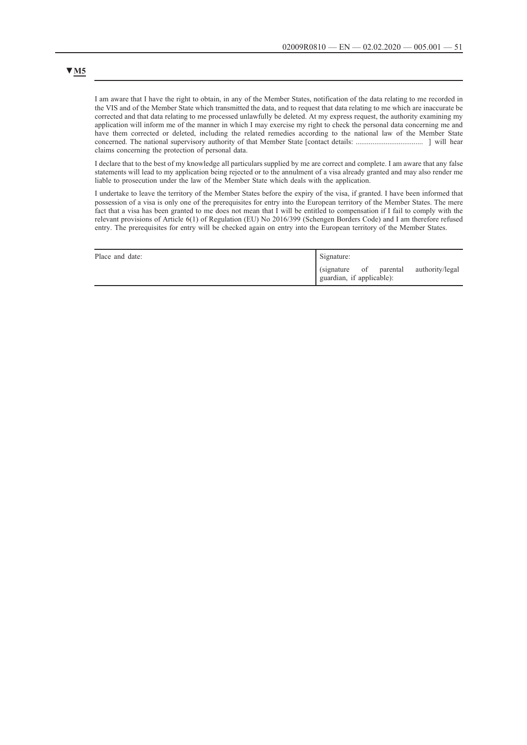### **▼M5**

I am aware that I have the right to obtain, in any of the Member States, notification of the data relating to me recorded in the VIS and of the Member State which transmitted the data, and to request that data relating to me which are inaccurate be corrected and that data relating to me processed unlawfully be deleted. At my express request, the authority examining my application will inform me of the manner in which I may exercise my right to check the personal data concerning me and have them corrected or deleted, including the related remedies according to the national law of the Member State concerned. The national supervisory authority of that Member State [contact details: .................................... ] will hear claims concerning the protection of personal data.

I declare that to the best of my knowledge all particulars supplied by me are correct and complete. I am aware that any false statements will lead to my application being rejected or to the annulment of a visa already granted and may also render me liable to prosecution under the law of the Member State which deals with the application.

I undertake to leave the territory of the Member States before the expiry of the visa, if granted. I have been informed that possession of a visa is only one of the prerequisites for entry into the European territory of the Member States. The mere fact that a visa has been granted to me does not mean that I will be entitled to compensation if I fail to comply with the relevant provisions of Article 6(1) of Regulation (EU) No 2016/399 (Schengen Borders Code) and I am therefore refused entry. The prerequisites for entry will be checked again on entry into the European territory of the Member States.

| Place and date: | Signature:                                                           |
|-----------------|----------------------------------------------------------------------|
|                 | (signature of parental authority/legal)<br>guardian, if applicable): |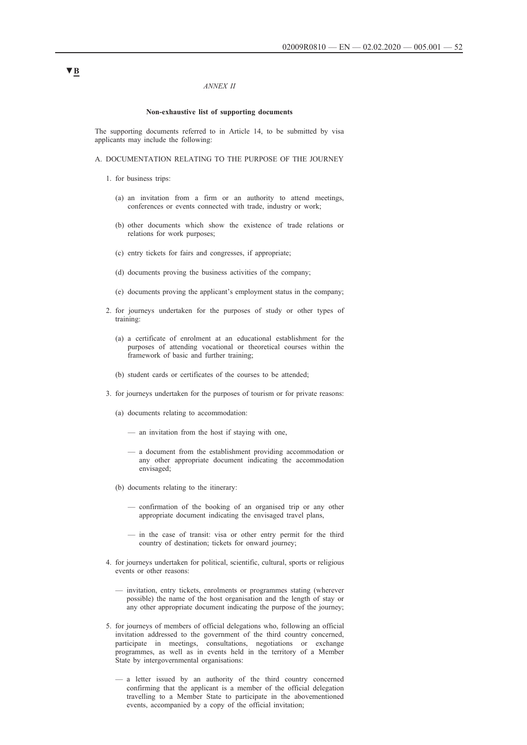#### *ANNEX II*

#### **Non-exhaustive list of supporting documents**

The supporting documents referred to in Article 14, to be submitted by visa applicants may include the following:

### A. DOCUMENTATION RELATING TO THE PURPOSE OF THE JOURNEY

- 1. for business trips:
	- (a) an invitation from a firm or an authority to attend meetings, conferences or events connected with trade, industry or work;
	- (b) other documents which show the existence of trade relations or relations for work purposes;
	- (c) entry tickets for fairs and congresses, if appropriate;
	- (d) documents proving the business activities of the company;
	- (e) documents proving the applicant's employment status in the company;
- 2. for journeys undertaken for the purposes of study or other types of training:
	- (a) a certificate of enrolment at an educational establishment for the purposes of attending vocational or theoretical courses within the framework of basic and further training;
	- (b) student cards or certificates of the courses to be attended;
- 3. for journeys undertaken for the purposes of tourism or for private reasons:
	- (a) documents relating to accommodation:
		- an invitation from the host if staying with one,
		- a document from the establishment providing accommodation or any other appropriate document indicating the accommodation envisaged;
	- (b) documents relating to the itinerary:
		- confirmation of the booking of an organised trip or any other appropriate document indicating the envisaged travel plans,
		- in the case of transit: visa or other entry permit for the third country of destination; tickets for onward journey;
- 4. for journeys undertaken for political, scientific, cultural, sports or religious events or other reasons:
	- invitation, entry tickets, enrolments or programmes stating (wherever possible) the name of the host organisation and the length of stay or any other appropriate document indicating the purpose of the journey;
- 5. for journeys of members of official delegations who, following an official invitation addressed to the government of the third country concerned, participate in meetings, consultations, negotiations or exchange programmes, as well as in events held in the territory of a Member State by intergovernmental organisations:
	- a letter issued by an authority of the third country concerned confirming that the applicant is a member of the official delegation travelling to a Member State to participate in the abovementioned events, accompanied by a copy of the official invitation;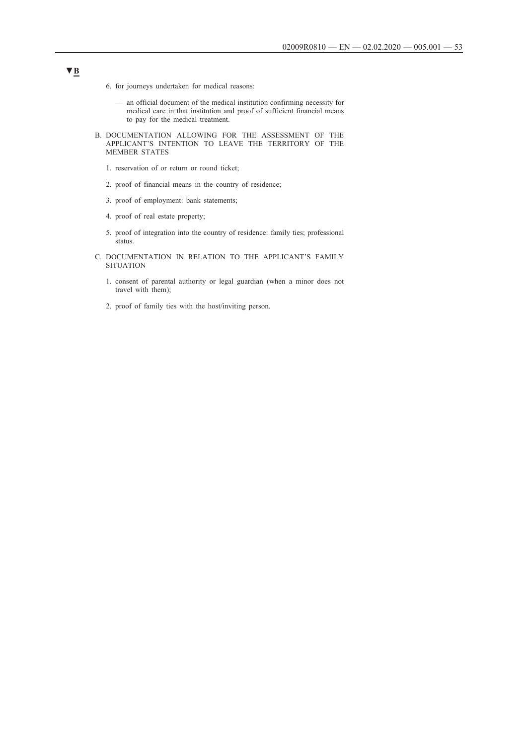- 6. for journeys undertaken for medical reasons:
	- an official document of the medical institution confirming necessity for medical care in that institution and proof of sufficient financial means to pay for the medical treatment.
- B. DOCUMENTATION ALLOWING FOR THE ASSESSMENT OF THE APPLICANT'S INTENTION TO LEAVE THE TERRITORY OF THE MEMBER STATES
	- 1. reservation of or return or round ticket;
	- 2. proof of financial means in the country of residence;
	- 3. proof of employment: bank statements;
	- 4. proof of real estate property;
	- 5. proof of integration into the country of residence: family ties; professional status.
- C. DOCUMENTATION IN RELATION TO THE APPLICANT'S FAMILY SITUATION
	- 1. consent of parental authority or legal guardian (when a minor does not travel with them);
	- 2. proof of family ties with the host/inviting person.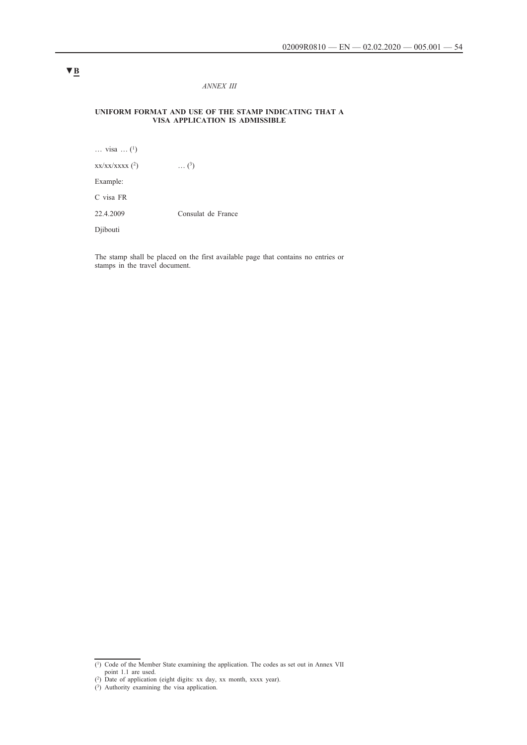### *ANNEX III*

#### **UNIFORM FORMAT AND USE OF THE STAMP INDICATING THAT A VISA APPLICATION IS ADMISSIBLE**

| visa $({}^{1})$    |                    |
|--------------------|--------------------|
| $XX/XX/XXXX$ $(2)$ | $\dots$ (3)        |
| Example:           |                    |
| C visa FR          |                    |
| 22.4.2009          | Consulat de France |
| Djibouti           |                    |

The stamp shall be placed on the first available page that contains no entries or stamps in the travel document.

 $(1)$  Code of the Member State examining the application. The codes as set out in Annex VII point 1.1 are used.

<sup>(2)</sup> Date of application (eight digits: xx day, xx month, xxxx year).

<sup>(3)</sup> Authority examining the visa application.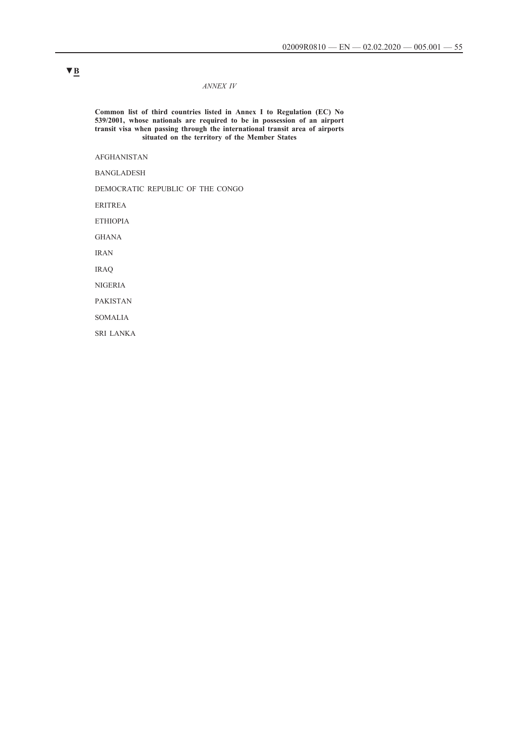#### *ANNEX IV*

**Common list of third countries listed in Annex I to Regulation (EC) No 539/2001, whose nationals are required to be in possession of an airport transit visa when passing through the international transit area of airports situated on the territory of the Member States**

AFGHANISTAN

BANGLADESH

DEMOCRATIC REPUBLIC OF THE CONGO

ERITREA

ETHIOPIA

GHANA

IRAN

IRAQ

NIGERIA

PAKISTAN

SOMALIA

SRI LANKA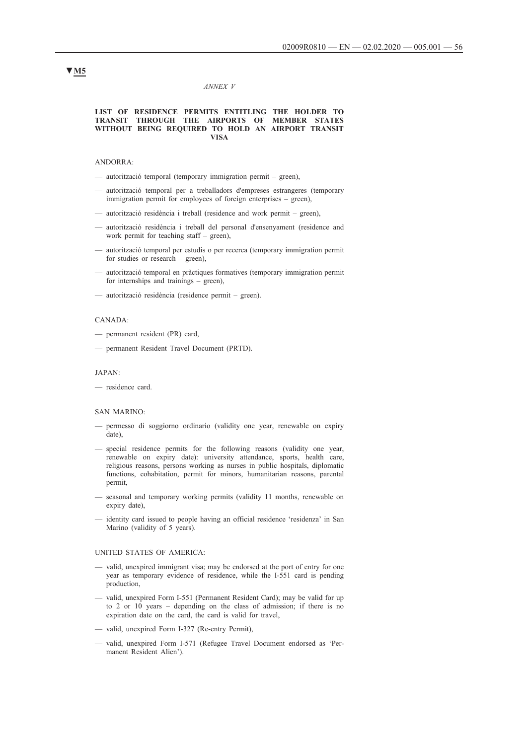#### *ANNEX V*

#### **LIST OF RESIDENCE PERMITS ENTITLING THE HOLDER TO TRANSIT THROUGH THE AIRPORTS OF MEMBER STATES WITHOUT BEING REQUIRED TO HOLD AN AIRPORT TRANSIT VISA**

#### ANDORRA:

- autorització temporal (temporary immigration permit green),
- autorització temporal per a treballadors d'empreses estrangeres (temporary immigration permit for employees of foreign enterprises – green),
- autorització residència i treball (residence and work permit green),
- autorització residència i treball del personal d'ensenyament (residence and work permit for teaching staff – green),
- autorització temporal per estudis o per recerca (temporary immigration permit for studies or research – green),
- autorització temporal en pràctiques formatives (temporary immigration permit for internships and trainings – green),
- autorització residència (residence permit green).

#### CANADA:

- permanent resident (PR) card,
- permanent Resident Travel Document (PRTD).

#### JAPAN:

— residence card.

#### SAN MARINO:

- permesso di soggiorno ordinario (validity one year, renewable on expiry date),
- special residence permits for the following reasons (validity one year, renewable on expiry date): university attendance, sports, health care, religious reasons, persons working as nurses in public hospitals, diplomatic functions, cohabitation, permit for minors, humanitarian reasons, parental permit,
- seasonal and temporary working permits (validity 11 months, renewable on expiry date),
- identity card issued to people having an official residence 'residenza' in San Marino (validity of 5 years).

#### UNITED STATES OF AMERICA:

- valid, unexpired immigrant visa; may be endorsed at the port of entry for one year as temporary evidence of residence, while the I-551 card is pending production,
- valid, unexpired Form I-551 (Permanent Resident Card); may be valid for up to 2 or 10 years – depending on the class of admission; if there is no expiration date on the card, the card is valid for travel,
- valid, unexpired Form I-327 (Re-entry Permit),
- valid, unexpired Form I-571 (Refugee Travel Document endorsed as 'Permanent Resident Alien').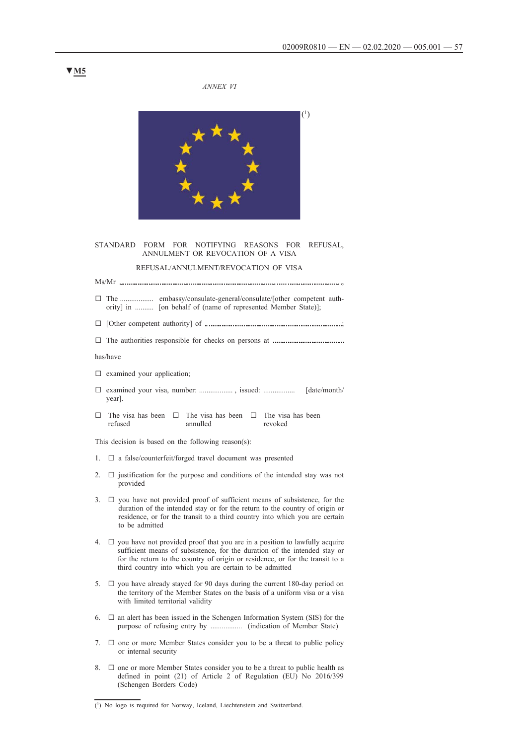*ANNEX VI*

<span id="page-56-0"></span>

- <span id="page-56-1"></span>purpose of refusing entry by ................. (indication of Member State)
- 7. □ one or more Member States consider you to be a threat to public policy or internal security
- 8.  $\Box$  one or more Member States consider you to be a threat to public health as defined in point (21) of Article 2 of Regulation (EU) No 2016/399 (Schengen Borders Code)

<sup>(</sup>[1\)](#page-56-1) No logo is required for Norway, Iceland, Liechtenstein and Switzerland.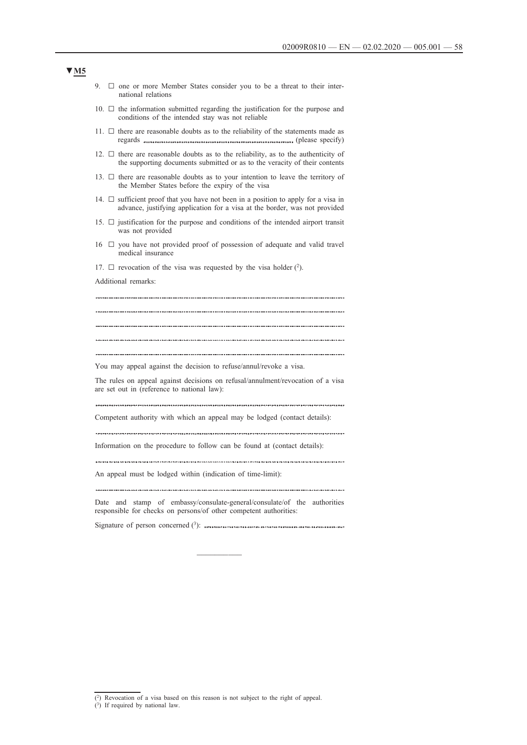- 9. □ one or more Member States consider you to be a threat to their international relations
- 10.  $\Box$  the information submitted regarding the justification for the purpose and conditions of the intended stay was not reliable
- 11.  $\Box$  there are reasonable doubts as to the reliability of the statements made as regards (please specify)
- 12.  $\Box$  there are reasonable doubts as to the reliability, as to the authenticity of the supporting documents submitted or as to the veracity of their contents
- 13.  $\Box$  there are reasonable doubts as to your intention to leave the territory of the Member States before the expiry of the visa
- 14.  $\Box$  sufficient proof that you have not been in a position to apply for a visa in advance, justifying application for a visa at the border, was not provided
- 15.  $\Box$  justification for the purpose and conditions of the intended airport transit was not provided
- <sup>16</sup> □ you have not provided proof of possession of adequate and valid travel medical insurance

17.  $\Box$  revocation of the visa was requested by the visa holder (2).

Additional remarks:

You may appeal against the decision to refuse/annul/revoke a visa.

The rules on appeal against decisions on refusal/annulment/revocation of a visa are set out in (reference to national law):

Competent authority with which an appeal may be lodged (contact details):

Information on the procedure to follow can be found at (contact details):

An appeal must be lodged within (indication of time-limit):

Date and stamp of embassy/consulate-general/consulate/of the authorities responsible for checks on persons/of other competent authorities:

Signature of person concerned (3):

<sup>(2)</sup> Revocation of a visa based on this reason is not subject to the right of appeal.

 $(3)$  If required by national law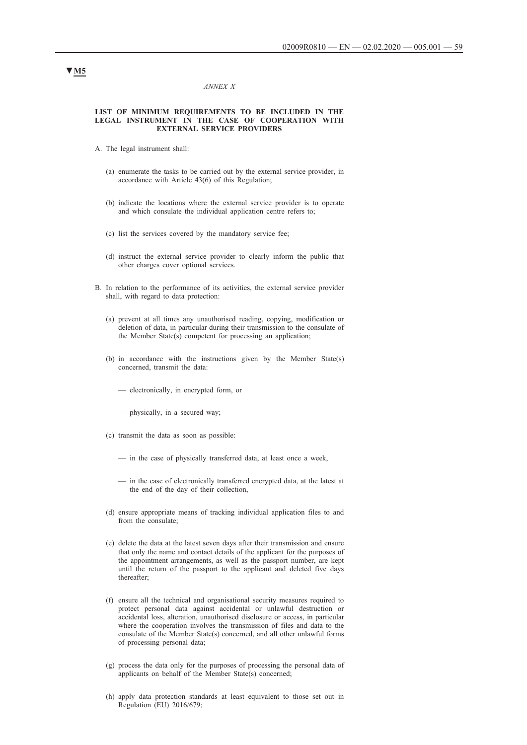#### *ANNEX X*

#### **LIST OF MINIMUM REQUIREMENTS TO BE INCLUDED IN THE LEGAL INSTRUMENT IN THE CASE OF COOPERATION WITH EXTERNAL SERVICE PROVIDERS**

- A. The legal instrument shall:
	- (a) enumerate the tasks to be carried out by the external service provider, in accordance with Article 43(6) of this Regulation;
	- (b) indicate the locations where the external service provider is to operate and which consulate the individual application centre refers to;
	- (c) list the services covered by the mandatory service fee;
	- (d) instruct the external service provider to clearly inform the public that other charges cover optional services.
- B. In relation to the performance of its activities, the external service provider shall, with regard to data protection:
	- (a) prevent at all times any unauthorised reading, copying, modification or deletion of data, in particular during their transmission to the consulate of the Member State(s) competent for processing an application;
	- (b) in accordance with the instructions given by the Member State(s) concerned, transmit the data:
		- electronically, in encrypted form, or
		- physically, in a secured way;
	- (c) transmit the data as soon as possible:
		- in the case of physically transferred data, at least once a week,
		- in the case of electronically transferred encrypted data, at the latest at the end of the day of their collection,
	- (d) ensure appropriate means of tracking individual application files to and from the consulate;
	- (e) delete the data at the latest seven days after their transmission and ensure that only the name and contact details of the applicant for the purposes of the appointment arrangements, as well as the passport number, are kept until the return of the passport to the applicant and deleted five days thereafter;
	- (f) ensure all the technical and organisational security measures required to protect personal data against accidental or unlawful destruction or accidental loss, alteration, unauthorised disclosure or access, in particular where the cooperation involves the transmission of files and data to the consulate of the Member State(s) concerned, and all other unlawful forms of processing personal data;
	- (g) process the data only for the purposes of processing the personal data of applicants on behalf of the Member State(s) concerned;
	- (h) apply data protection standards at least equivalent to those set out in Regulation (EU) 2016/679;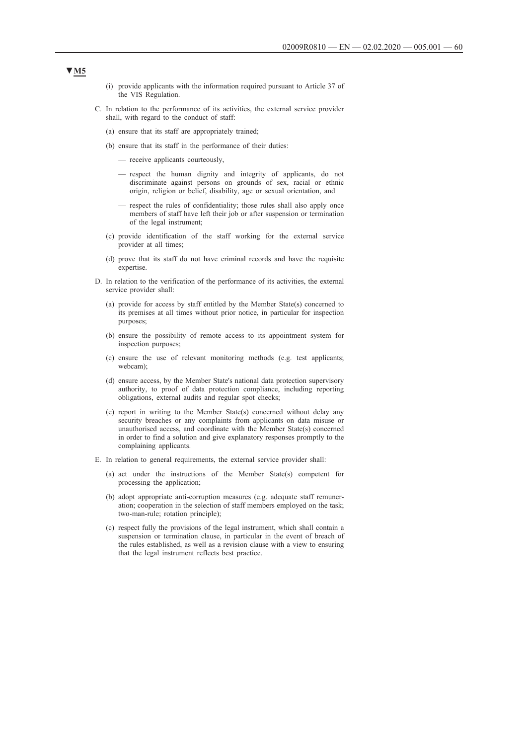- (i) provide applicants with the information required pursuant to Article 37 of the VIS Regulation.
- C. In relation to the performance of its activities, the external service provider shall, with regard to the conduct of staff:
	- (a) ensure that its staff are appropriately trained;
	- (b) ensure that its staff in the performance of their duties:
		- receive applicants courteously,
		- respect the human dignity and integrity of applicants, do not discriminate against persons on grounds of sex, racial or ethnic origin, religion or belief, disability, age or sexual orientation, and
		- respect the rules of confidentiality; those rules shall also apply once members of staff have left their job or after suspension or termination of the legal instrument;
	- (c) provide identification of the staff working for the external service provider at all times;
	- (d) prove that its staff do not have criminal records and have the requisite expertise
- D. In relation to the verification of the performance of its activities, the external service provider shall:
	- (a) provide for access by staff entitled by the Member State(s) concerned to its premises at all times without prior notice, in particular for inspection purposes;
	- (b) ensure the possibility of remote access to its appointment system for inspection purposes;
	- (c) ensure the use of relevant monitoring methods (e.g. test applicants; webcam);
	- (d) ensure access, by the Member State's national data protection supervisory authority, to proof of data protection compliance, including reporting obligations, external audits and regular spot checks;
	- (e) report in writing to the Member State(s) concerned without delay any security breaches or any complaints from applicants on data misuse or unauthorised access, and coordinate with the Member State(s) concerned in order to find a solution and give explanatory responses promptly to the complaining applicants.
- E. In relation to general requirements, the external service provider shall:
	- (a) act under the instructions of the Member State(s) competent for processing the application;
	- (b) adopt appropriate anti-corruption measures (e.g. adequate staff remuneration; cooperation in the selection of staff members employed on the task; two-man-rule; rotation principle);
	- (c) respect fully the provisions of the legal instrument, which shall contain a suspension or termination clause, in particular in the event of breach of the rules established, as well as a revision clause with a view to ensuring that the legal instrument reflects best practice.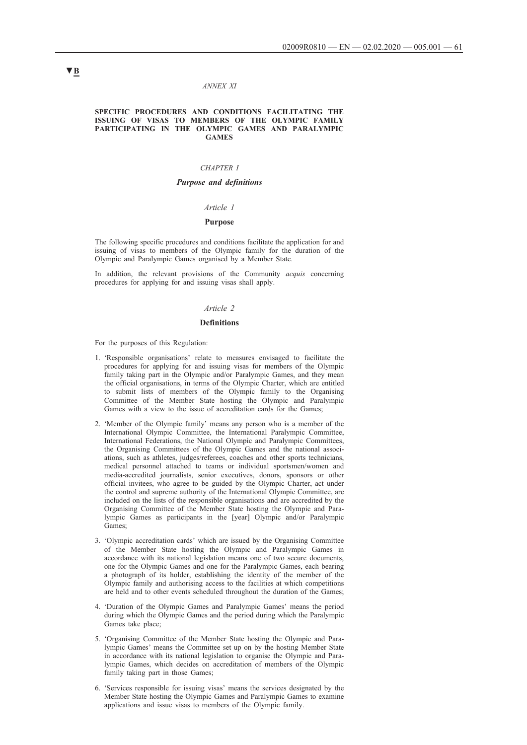#### *ANNEX XI*

#### **SPECIFIC PROCEDURES AND CONDITIONS FACILITATING THE ISSUING OF VISAS TO MEMBERS OF THE OLYMPIC FAMILY PARTICIPATING IN THE OLYMPIC GAMES AND PARALYMPIC GAMES**

#### *CHAPTER I*

#### *Purpose and definitions*

#### *Article 1*

#### **Purpose**

The following specific procedures and conditions facilitate the application for and issuing of visas to members of the Olympic family for the duration of the Olympic and Paralympic Games organised by a Member State.

In addition, the relevant provisions of the Community *acquis* concerning procedures for applying for and issuing visas shall apply.

#### *Article 2*

#### **Definitions**

For the purposes of this Regulation:

- 1. 'Responsible organisations' relate to measures envisaged to facilitate the procedures for applying for and issuing visas for members of the Olympic family taking part in the Olympic and/or Paralympic Games, and they mean the official organisations, in terms of the Olympic Charter, which are entitled to submit lists of members of the Olympic family to the Organising Committee of the Member State hosting the Olympic and Paralympic Games with a view to the issue of accreditation cards for the Games;
- 2. 'Member of the Olympic family' means any person who is a member of the International Olympic Committee, the International Paralympic Committee, International Federations, the National Olympic and Paralympic Committees, the Organising Committees of the Olympic Games and the national associations, such as athletes, judges/referees, coaches and other sports technicians, medical personnel attached to teams or individual sportsmen/women and media-accredited journalists, senior executives, donors, sponsors or other official invitees, who agree to be guided by the Olympic Charter, act under the control and supreme authority of the International Olympic Committee, are included on the lists of the responsible organisations and are accredited by the Organising Committee of the Member State hosting the Olympic and Paralympic Games as participants in the [year] Olympic and/or Paralympic Games;
- 3. 'Olympic accreditation cards' which are issued by the Organising Committee of the Member State hosting the Olympic and Paralympic Games in accordance with its national legislation means one of two secure documents, one for the Olympic Games and one for the Paralympic Games, each bearing a photograph of its holder, establishing the identity of the member of the Olympic family and authorising access to the facilities at which competitions are held and to other events scheduled throughout the duration of the Games;
- 4. 'Duration of the Olympic Games and Paralympic Games' means the period during which the Olympic Games and the period during which the Paralympic Games take place;
- 5. 'Organising Committee of the Member State hosting the Olympic and Paralympic Games' means the Committee set up on by the hosting Member State in accordance with its national legislation to organise the Olympic and Paralympic Games, which decides on accreditation of members of the Olympic family taking part in those Games;
- 6. 'Services responsible for issuing visas' means the services designated by the Member State hosting the Olympic Games and Paralympic Games to examine applications and issue visas to members of the Olympic family.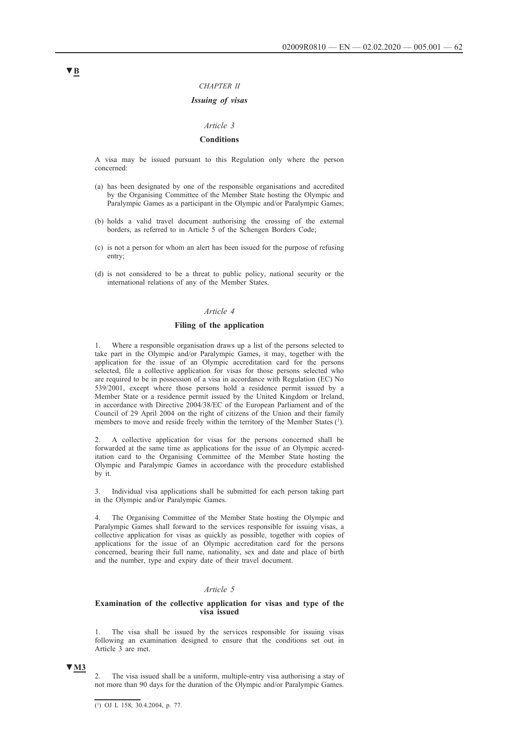#### *CHAPTER II*

### *Issuing of visas*

#### *Article 3*

### **Conditions**

A visa may be issued pursuant to this Regulation only where the person concerned:

- (a) has been designated by one of the responsible organisations and accredited by the Organising Committee of the Member State hosting the Olympic and Paralympic Games as a participant in the Olympic and/or Paralympic Games;
- (b) holds a valid travel document authorising the crossing of the external borders, as referred to in Article 5 of the Schengen Borders Code;
- (c) is not a person for whom an alert has been issued for the purpose of refusing entry;
- (d) is not considered to be a threat to public policy, national security or the international relations of any of the Member States.

#### *Article 4*

### **Filing of the application**

1. Where a responsible organisation draws up a list of the persons selected to take part in the Olympic and/or Paralympic Games, it may, together with the application for the issue of an Olympic accreditation card for the persons selected, file a collective application for visas for those persons selected who are required to be in possession of a visa in accordance with Regulation (EC) No 539/2001, except where those persons hold a residence permit issued by a Member State or a residence permit issued by the United Kingdom or Ireland, in accordance with Directive 2004/38/EC of the European Parliament and of the Council of 29 April 2004 on the right of citizens of the Union and their family members to move and reside freely within the territory of the Member States (1).

2. A collective application for visas for the persons concerned shall be forwarded at the same time as applications for the issue of an Olympic accreditation card to the Organising Committee of the Member State hosting the Olympic and Paralympic Games in accordance with the procedure established by it.

3. Individual visa applications shall be submitted for each person taking part in the Olympic and/or Paralympic Games.

The Organising Committee of the Member State hosting the Olympic and Paralympic Games shall forward to the services responsible for issuing visas, a collective application for visas as quickly as possible, together with copies of applications for the issue of an Olympic accreditation card for the persons concerned, bearing their full name, nationality, sex and date and place of birth and the number, type and expiry date of their travel document.

#### *Article 5*

#### **Examination of the collective application for visas and type of the visa issued**

The visa shall be issued by the services responsible for issuing visas following an examination designed to ensure that the conditions set out in Article 3 are met.

#### **▼M3**

2. The visa issued shall be a uniform, multiple-entry visa authorising a stay of not more than 90 days for the duration of the Olympic and/or Paralympic Games.

 $(1)$  OJ L 158, 30.4.2004, p. 77.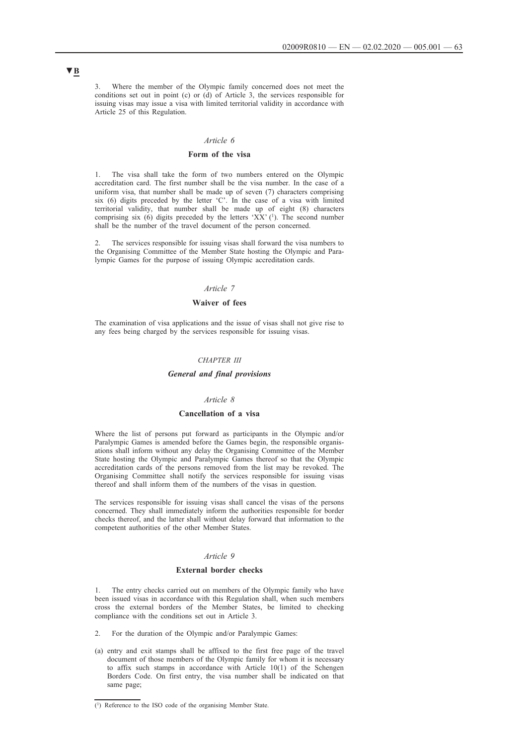3. Where the member of the Olympic family concerned does not meet the conditions set out in point (c) or (d) of Article 3, the services responsible for issuing visas may issue a visa with limited territorial validity in accordance with Article 25 of this Regulation.

### *Article 6*

### **Form of the visa**

1. The visa shall take the form of two numbers entered on the Olympic accreditation card. The first number shall be the visa number. In the case of a uniform visa, that number shall be made up of seven (7) characters comprising six (6) digits preceded by the letter 'C'. In the case of a visa with limited territorial validity, that number shall be made up of eight (8) characters comprising six (6) digits preceded by the letters 'XX' (1). The second number shall be the number of the travel document of the person concerned.

The services responsible for issuing visas shall forward the visa numbers to the Organising Committee of the Member State hosting the Olympic and Paralympic Games for the purpose of issuing Olympic accreditation cards.

### *Article 7*

#### **Waiver of fees**

The examination of visa applications and the issue of visas shall not give rise to any fees being charged by the services responsible for issuing visas.

#### *CHAPTER III*

### *General and final provisions*

#### *Article 8*

#### **Cancellation of a visa**

Where the list of persons put forward as participants in the Olympic and/or Paralympic Games is amended before the Games begin, the responsible organisations shall inform without any delay the Organising Committee of the Member State hosting the Olympic and Paralympic Games thereof so that the Olympic accreditation cards of the persons removed from the list may be revoked. The Organising Committee shall notify the services responsible for issuing visas thereof and shall inform them of the numbers of the visas in question.

The services responsible for issuing visas shall cancel the visas of the persons concerned. They shall immediately inform the authorities responsible for border checks thereof, and the latter shall without delay forward that information to the competent authorities of the other Member States.

#### *Article 9*

#### **External border checks**

The entry checks carried out on members of the Olympic family who have been issued visas in accordance with this Regulation shall, when such members cross the external borders of the Member States, be limited to checking compliance with the conditions set out in Article 3.

- For the duration of the Olympic and/or Paralympic Games:
- (a) entry and exit stamps shall be affixed to the first free page of the travel document of those members of the Olympic family for whom it is necessary to affix such stamps in accordance with Article 10(1) of the Schengen Borders Code. On first entry, the visa number shall be indicated on that same page;

<sup>(1)</sup> Reference to the ISO code of the organising Member State.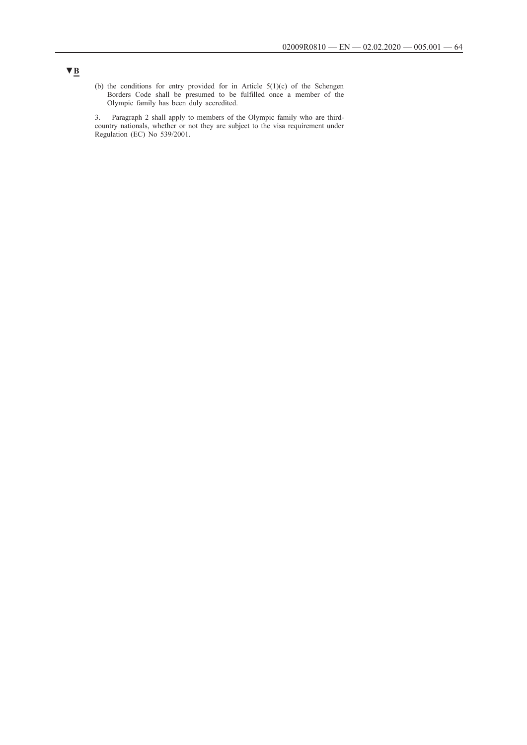(b) the conditions for entry provided for in Article 5(1)(c) of the Schengen Borders Code shall be presumed to be fulfilled once a member of the Olympic family has been duly accredited.

3. Paragraph 2 shall apply to members of the Olympic family who are thirdcountry nationals, whether or not they are subject to the visa requirement under Regulation (EC) No 539/2001.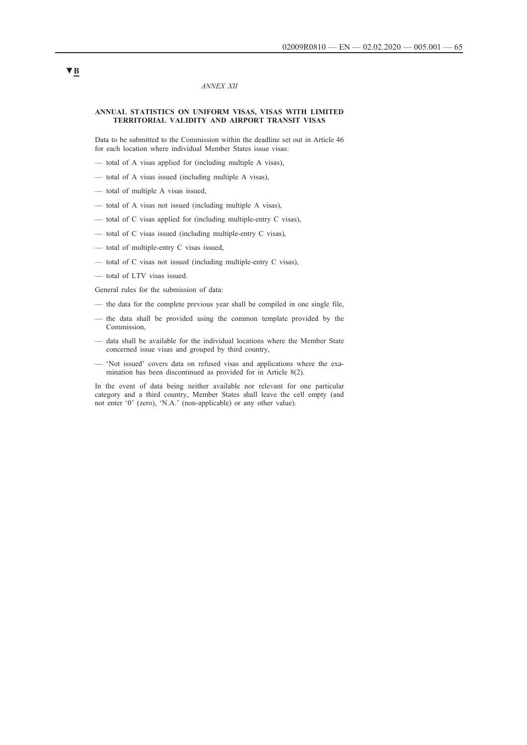#### *ANNEX XII*

#### **ANNUAL STATISTICS ON UNIFORM VISAS, VISAS WITH LIMITED TERRITORIAL VALIDITY AND AIRPORT TRANSIT VISAS**

Data to be submitted to the Commission within the deadline set out in Article 46 for each location where individual Member States issue visas:

- total of A visas applied for (including multiple A visas),
- total of A visas issued (including multiple A visas),
- total of multiple A visas issued,
- total of A visas not issued (including multiple A visas),
- total of C visas applied for (including multiple-entry C visas),
- total of C visas issued (including multiple-entry C visas),
- total of multiple-entry C visas issued,
- total of C visas not issued (including multiple-entry C visas),
- total of LTV visas issued.

General rules for the submission of data:

- the data for the complete previous year shall be compiled in one single file,
- the data shall be provided using the common template provided by the **Commission**
- data shall be available for the individual locations where the Member State concerned issue visas and grouped by third country,
- 'Not issued' covers data on refused visas and applications where the examination has been discontinued as provided for in Article 8(2).

In the event of data being neither available nor relevant for one particular category and a third country, Member States shall leave the cell empty (and not enter '0' (zero), 'N.A.' (non-applicable) or any other value).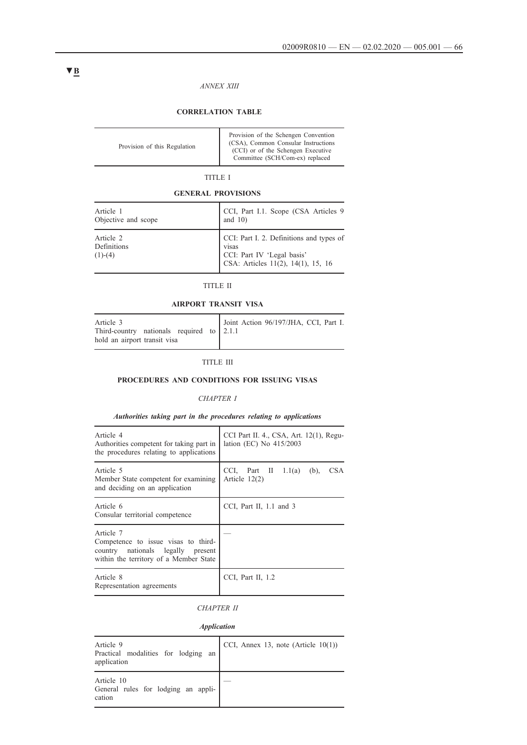### *ANNEX XIII*

### **CORRELATION TABLE**

| Provision of this Regulation | Provision of the Schengen Convention<br>(CSA), Common Consular Instructions<br>(CCI) or of the Schengen Executive<br>Committee (SCH/Com-ex) replaced |
|------------------------------|------------------------------------------------------------------------------------------------------------------------------------------------------|
|------------------------------|------------------------------------------------------------------------------------------------------------------------------------------------------|

### TITLE I

### **GENERAL PROVISIONS**

| Article 1                             | CCI, Part I.1. Scope (CSA Articles 9                                                                                         |
|---------------------------------------|------------------------------------------------------------------------------------------------------------------------------|
| Objective and scope                   | and $10$ )                                                                                                                   |
| Article 2<br>Definitions<br>$(1)-(4)$ | CCI: Part I. 2. Definitions and types of<br><b>VISaS</b><br>CCI: Part IV 'Legal basis'<br>CSA: Articles 11(2), 14(1), 15, 16 |

### TITLE II

### **AIRPORT TRANSIT VISA**

| Article 3<br>Third-country nationals required to $\vert$ 2.1.1<br>hold an airport transit visa |  | Joint Action 96/197/JHA, CCI, Part I. |
|------------------------------------------------------------------------------------------------|--|---------------------------------------|
|------------------------------------------------------------------------------------------------|--|---------------------------------------|

#### TITLE III

### **PROCEDURES AND CONDITIONS FOR ISSUING VISAS**

#### *CHAPTER I*

#### *Authorities taking part in the procedures relating to applications*

| Article 4<br>Authorities competent for taking part in<br>the procedures relating to applications                                | CCI Part II. 4., CSA, Art. 12(1), Regu-<br>lation (EC) No 415/2003 |
|---------------------------------------------------------------------------------------------------------------------------------|--------------------------------------------------------------------|
| Article 5<br>Member State competent for examining<br>and deciding on an application                                             | CCI, Part II $1.1(a)$<br>$(b)$ ,<br>CSA<br>Article $12(2)$         |
| Article 6<br>Consular territorial competence                                                                                    | CCI, Part II, $1.1$ and 3                                          |
| Article 7<br>Competence to issue visas to third-<br>country nationals legally present<br>within the territory of a Member State |                                                                    |
| Article 8<br>Representation agreements                                                                                          | CCI, Part II, 1.2                                                  |

### *CHAPTER II*

### *Application*

| Article 9<br>Practical modalities for lodging an<br>application | CCI, Annex 13, note (Article $10(1)$ ) |
|-----------------------------------------------------------------|----------------------------------------|
| Article 10<br>General rules for lodging an appli-<br>cation     |                                        |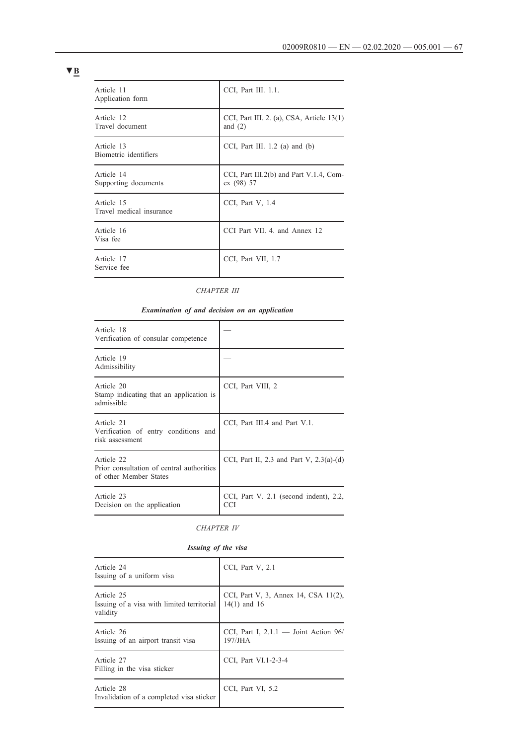| Article 11<br>Application form         | CCI, Part III. $1.1$ .                                   |
|----------------------------------------|----------------------------------------------------------|
| Article 12<br>Travel document          | CCI, Part III. 2. (a), CSA, Article $13(1)$<br>and $(2)$ |
| Article 13<br>Biometric identifiers    | CCI, Part III. $1.2$ (a) and (b)                         |
| Article 14<br>Supporting documents     | CCI, Part III.2(b) and Part V.1.4, Com-<br>ex (98) 57    |
| Article 15<br>Travel medical insurance | CCI, Part V, 1.4                                         |
| Article 16<br>Visa fee                 | CCI Part VII. 4. and Annex 12                            |
| Article 17<br>Service fee              | CCI, Part VII, 1.7                                       |

### *CHAPTER III*

*Examination of and decision on an application*

| Article 18<br>Verification of consular competence                                 |                                                      |
|-----------------------------------------------------------------------------------|------------------------------------------------------|
| Article 19<br>Admissibility                                                       |                                                      |
| Article 20<br>Stamp indicating that an application is<br>admissible               | CCI, Part VIII, 2                                    |
| Article 21<br>Verification of entry conditions and<br>risk assessment             | CCI, Part III.4 and Part V.1.                        |
| Article 22<br>Prior consultation of central authorities<br>of other Member States | CCI, Part II, 2.3 and Part V, $2.3(a)-(d)$           |
| Article 23<br>Decision on the application                                         | CCI, Part V. 2.1 (second indent), 2.2,<br><b>CCI</b> |

# *CHAPTER IV*

| Article 24<br>Issuing of a uniform visa                              | CCI, Part V, $2.1$                                        |
|----------------------------------------------------------------------|-----------------------------------------------------------|
| Article 25<br>Issuing of a visa with limited territorial<br>validity | CCI, Part V, 3, Annex 14, CSA $11(2)$ ,<br>$14(1)$ and 16 |
| Article 26<br>Issuing of an airport transit visa                     | CCI, Part I, $2.1.1$ — Joint Action 96/<br>197/JHA        |
| Article 27<br>Filling in the visa sticker                            | CCI, Part VI.1-2-3-4                                      |
| Article 28<br>Invalidation of a completed visa sticker               | CCI, Part VI, 5.2                                         |

### *Issuing of the visa*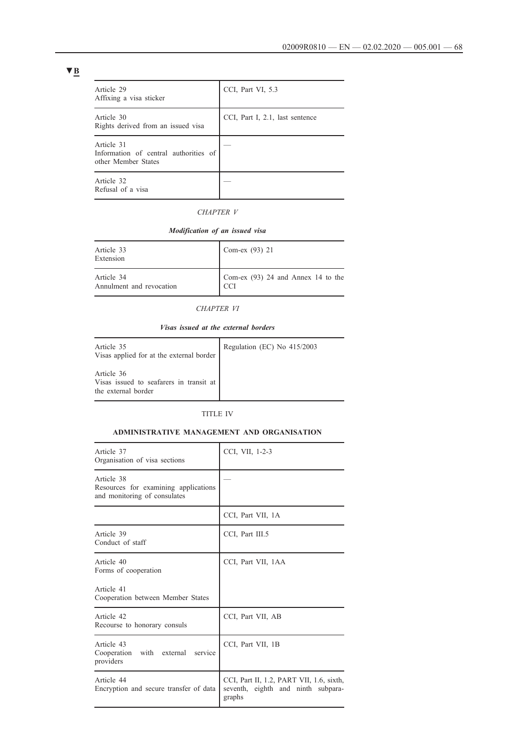| Article 29<br>Affixing a visa sticker                                      | CCI, Part VI, 5.3               |
|----------------------------------------------------------------------------|---------------------------------|
| Article 30<br>Rights derived from an issued visa                           | CCI, Part I, 2.1, last sentence |
| Article 31<br>Information of central authorities of<br>other Member States |                                 |
| Article 32<br>Refusal of a visa                                            |                                 |

### *CHAPTER V*

### *Modification of an issued visa*

| Article 33<br>Extension  | Com-ex (93) 21                     |
|--------------------------|------------------------------------|
| Article 34               | Com-ex (93) 24 and Annex 14 to the |
| Annulment and revocation | <b>CCI</b>                         |

*CHAPTER VI*

### *Visas issued at the external borders*

| Article 35<br>Visas applied for at the external border                       | Regulation (EC) No 415/2003 |
|------------------------------------------------------------------------------|-----------------------------|
| Article 36<br>Visas issued to seafarers in transit at<br>the external border |                             |

### TITLE IV

## **ADMINISTRATIVE MANAGEMENT AND ORGANISATION**

| Article 37<br>Organisation of visa sections                                        | CCI, VII, 1-2-3                                                                          |
|------------------------------------------------------------------------------------|------------------------------------------------------------------------------------------|
| Article 38<br>Resources for examining applications<br>and monitoring of consulates |                                                                                          |
|                                                                                    | CCI, Part VII, 1A                                                                        |
| Article 39<br>Conduct of staff                                                     | CCI, Part III.5                                                                          |
| Article 40<br>Forms of cooperation                                                 | CCI, Part VII, 1AA                                                                       |
| Article 41<br>Cooperation between Member States                                    |                                                                                          |
| Article 42<br>Recourse to honorary consuls                                         | CCI, Part VII, AB                                                                        |
| Article 43<br>Cooperation with external<br>service<br>providers                    | CCI, Part VII, 1B                                                                        |
| Article 44<br>Encryption and secure transfer of data                               | CCI, Part II, 1.2, PART VII, 1.6, sixth,<br>seventh, eighth and ninth subpara-<br>graphs |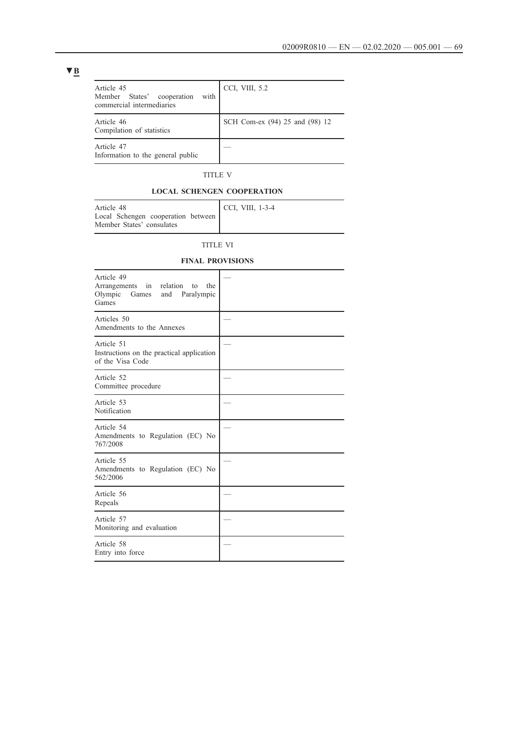| Article 45<br>with<br>States' cooperation<br>Member<br>commercial intermediaries | CCI, VIII, $5.2$               |
|----------------------------------------------------------------------------------|--------------------------------|
| Article 46<br>Compilation of statistics                                          | SCH Com-ex (94) 25 and (98) 12 |
| Article 47<br>Information to the general public                                  |                                |

TITLE V

### **LOCAL SCHENGEN COOPERATION**

| Article 48                         | $CCI, VIII, 1-3-4$ |
|------------------------------------|--------------------|
| Local Schengen cooperation between |                    |
| Member States' consulates          |                    |

### TITLE VI

### **FINAL PROVISIONS**

| Article 49<br>Arrangements in relation to<br>the<br>and Paralympic<br>Olympic Games<br>Games |  |
|----------------------------------------------------------------------------------------------|--|
| Articles 50<br>Amendments to the Annexes                                                     |  |
| Article 51<br>Instructions on the practical application<br>of the Visa Code                  |  |
| Article 52<br>Committee procedure                                                            |  |
| Article 53<br>Notification                                                                   |  |
| Article 54<br>Amendments to Regulation (EC) No<br>767/2008                                   |  |
| Article 55<br>Amendments to Regulation (EC) No<br>562/2006                                   |  |
| Article 56<br>Repeals                                                                        |  |
| Article 57<br>Monitoring and evaluation                                                      |  |
| Article 58<br>Entry into force                                                               |  |